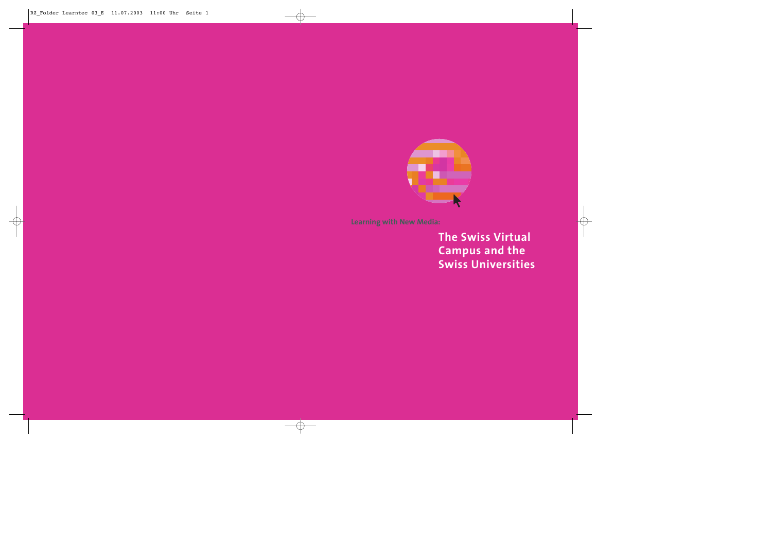

**Learning with New Media:**

**The Swiss Virtual Campus and the Swiss Universities**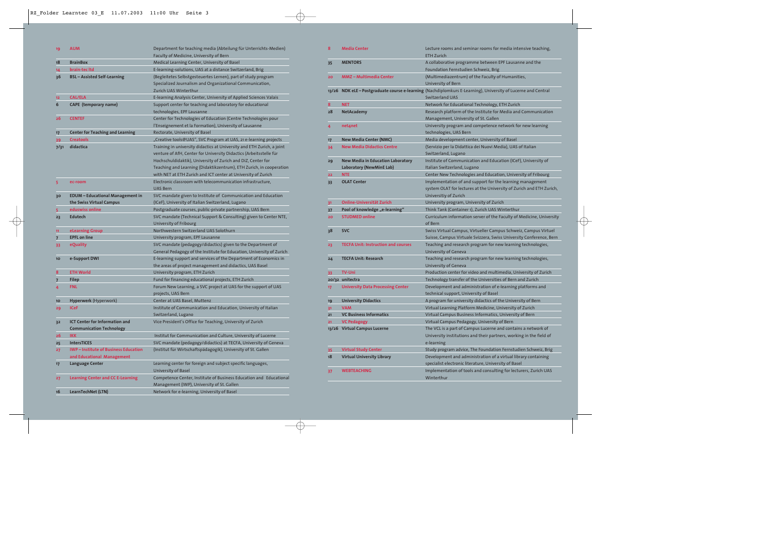| 19             | <b>AUM</b>                                 | Department for teaching media (Abteilung für Unterrichts-Medien)       |  |
|----------------|--------------------------------------------|------------------------------------------------------------------------|--|
|                |                                            | Faculty of Medicine, University of Bern                                |  |
| 18             | <b>BrainBox</b>                            | Medical Learning Center, University of Basel                           |  |
| 14             | brain-tec Itd                              | E-learning-solutions, UAS at a distance Switzerland, Brig              |  |
| 36             | <b>BSL</b> – Assisted Self-Learning        | (Begleitetes Selbstgesteuertes Lernen), part of study program          |  |
|                |                                            | Specialized Journalism and Organizational Communication,               |  |
|                |                                            | Zurich UAS Winterthur                                                  |  |
| 12             | <b>CAL/ELA</b>                             | E-learning Analysis Center, University of Applied Sciences Valais      |  |
| 6              | <b>CAPE</b> (temporary name)               | Support center for teaching and laboratory for educational             |  |
|                |                                            | technologies, EPF Lausanne                                             |  |
| 26             | <b>CENTEF</b>                              | Center for Technologies of Education (Centre Technologies pour         |  |
|                |                                            | l'Enseignement et la Formation), University of Lausanne                |  |
| 17             | <b>Center for Teaching and Learning</b>    | Rectorate, University of Basel                                         |  |
| 39             | <b>Creatools</b>                           | "Creative tools@UAS", SVC Program at UAS, 21 e-learning projects       |  |
| 7/31           | didactica                                  | Training in university didactics at University and ETH Zurich, a joint |  |
|                |                                            | venture of AfH, Center for University Didactics (Arbeitsstelle für     |  |
|                |                                            | Hochschuldidaktik), University of Zurich and DiZ, Center for           |  |
|                |                                            | Teaching and Learning (Didaktikzentrum), ETH Zurich, in cooperation    |  |
|                |                                            | with NET at ETH Zurich and ICT center at University of Zurich          |  |
| 5              | ec-room                                    | Electronic classroom with telecommunication infrastructure,            |  |
|                |                                            | <b>UAS Bern</b>                                                        |  |
| 30             | <b>EDUM - Educational Management in</b>    | SVC mandate given to Institute of Communication and Education          |  |
|                | the Swiss Virtual Campus                   | (ICeF), University of Italian Switzerland, Lugano                      |  |
| 5              | eduswiss online                            | Postgraduate courses, public-private partnership, UAS Bern             |  |
| 23             | <b>Edutech</b>                             | SVC mandate (Technical Support & Consulting) given to Center NTE,      |  |
|                |                                            | University of Fribourg                                                 |  |
| 11             | eLearning Group                            | Northwestern Switzerland UAS Solothurn                                 |  |
| $\overline{7}$ | <b>EPFL on line</b>                        | University program, EPF Lausanne                                       |  |
| 33             | eQuality                                   | SVC mandate (pedagogy/didactics) given to the Department of            |  |
|                |                                            | General Pedagogy of the Institute for Education, University of Zurich  |  |
| 10             | e-Support DWI                              | E-learning support and services of the Department of Economics in      |  |
|                |                                            | the areas of project management and didactics, UAS Basel               |  |
| 8              | <b>ETH World</b>                           | University program, ETH Zurich                                         |  |
| 7              | <b>Filep</b>                               | Fund for financing educational projects, ETH Zurich                    |  |
| 4              | <b>FNL</b>                                 | Forum New Learning, a SVC project at UAS for the support of UAS        |  |
|                |                                            | projects, UAS Bern                                                     |  |
| 10             | <b>Hyperwerk</b> (Hyperwork)               | Center at UAS Basel, Muttenz                                           |  |
| 29             | <b>ICeF</b>                                | Institute of Communication and Education, University of Italian        |  |
|                |                                            | Switzerland, Lugano                                                    |  |
| 32             | <b>ICT Center for Information and</b>      | Vice President's Office for Teaching, University of Zurich             |  |
|                | <b>Communication Technology</b>            |                                                                        |  |
| 26             | <b>IKK</b>                                 | Institut for Communication and Culture, University of Lucerne          |  |
| 25             | <b>IntersTICES</b>                         | SVC mandate (pedagogy/didactics) at TECFA, University of Geneva        |  |
| 27             | <b>IWP-Institute of Business Education</b> | (Institut für Wirtschaftspädagogik), University of St. Gallen          |  |
|                | and Educational Management                 |                                                                        |  |
| 17             | <b>Language Center</b>                     | Learning center for foreign and subject specific languages,            |  |
|                |                                            | University of Basel                                                    |  |
| 27             | <b>Learning Center and CC E-Learning</b>   | Competence Center, Institute of Business Education and Educational     |  |
|                |                                            | Management (IWP), University of St. Gallen                             |  |
| 16             | LearnTechNet (LTN)                         | Network for e-learning, University of Basel                            |  |

| 8  | <b>Media Center</b>                                                  | Lecture rooms and seminar rooms for media intensive teaching,<br><b>ETH Zurich</b>                                                                         |  |
|----|----------------------------------------------------------------------|------------------------------------------------------------------------------------------------------------------------------------------------------------|--|
| 35 | <b>MENTORS</b>                                                       | A collaborative programme between EPF Lausanne and the<br>Foundation Fernstudien Schweiz, Brig                                                             |  |
| 20 | <b>MMZ - Multimedia Center</b>                                       | (Multimediazentrum) of the Faculty of Humanities,<br>University of Bern                                                                                    |  |
|    |                                                                      | 13/26 NDK eLE-Postgraduate course e-learning (Nachdiplomkurs E-Learning), University of Lucerne and Central<br><b>Switzerland UAS</b>                      |  |
| 8  | <b>NET</b>                                                           | Network for Educational Technology, ETH Zurich                                                                                                             |  |
| 28 | <b>NetAcademy</b>                                                    | Research platform of the Institute for Media and Communication<br>Management, University of St. Gallen                                                     |  |
| 4  | net4net                                                              | University program and competence network for new learning<br>technologies, UAS Bern                                                                       |  |
| 17 | <b>New Media Center (NMC)</b>                                        | Media development center, University of Basel                                                                                                              |  |
| 34 | <b>New Media Didactics Centre</b>                                    | (Servizio per la Didattica dei Nuovi Media), UAS of Italian<br>Switzerland, Lugano                                                                         |  |
| 29 | <b>New Media in Education Laboratory</b><br>Laboratory (NewMinE Lab) | Institute of Communication and Education (ICeF), University of<br>Italian Switzerland, Lugano                                                              |  |
| 22 | <b>NTE</b>                                                           | Center New Technologies and Education, University of Fribourg                                                                                              |  |
| 33 | <b>OLAT Center</b>                                                   | Implementation of and support for the learning management<br>system OLAT for lectures at the University of Zurich and ETH Zurich,<br>Universitiy of Zurich |  |
| 31 | Online-Universität Zurich                                            | University program, University of Zurich                                                                                                                   |  |
| 37 | Pool of knowledge "e-learning"                                       | Think Tank (Container 1), Zurich UAS Winterthur                                                                                                            |  |
| 20 | <b>STUDMED online</b>                                                | Curriculum information server of the Faculty of Medicine, University<br>of Bern                                                                            |  |
| 38 | <b>SVC</b>                                                           | Swiss Virtual Campus, Virtueller Campus Schweiz, Campus Virtuel<br>Suisse, Campus Virtuale Svizzera, Swiss University Conference, Bern                     |  |
| 23 | <b>TECFA Unit: Instruction and courses</b>                           | Teaching and research program for new learning technologies,<br>University of Geneva                                                                       |  |
| 24 | <b>TECFA Unit: Research</b>                                          | Teaching and research program for new learning technologies,<br>University of Geneva                                                                       |  |
| 33 | <b>TV-Uni</b>                                                        | Production center for video and multimedia, University of Zurich                                                                                           |  |
|    | 20/32 unitectra                                                      |                                                                                                                                                            |  |
|    |                                                                      | Technology transfer of the Universities of Bern and Zurich                                                                                                 |  |
| 17 | <b>University Data Processing Center</b>                             | Development and administration of e-learning platforms and<br>technical support, University of Basel                                                       |  |
| 19 | <b>University Didactics</b>                                          | A program for university didactics of the University of Bern                                                                                               |  |
| 31 | <b>VAM</b>                                                           | Virtual Learning Platform Medicine, University of Zurich                                                                                                   |  |
| 21 | <b>VC Business Informatics</b>                                       | Virtual Campus Business Informatics, University of Bern                                                                                                    |  |
| 21 | <b>VC Pedagogy</b>                                                   | Virtual Campus Pedagogy, University of Bern                                                                                                                |  |
|    | 13/26 Virtual Campus Lucerne                                         | The VCL is a part of Campus Lucerne and contains a network of<br>University institutions and their partners, working in the field of<br>e-learning         |  |
| 35 | <b>Virtual Study Center</b>                                          | Study program advice, The Foundation Fernstudien Schweiz, Brig                                                                                             |  |
| 18 | <b>Virtual University Library</b>                                    | Development and administration of a virtual library containing<br>specialist electronic literature, University of Basel                                    |  |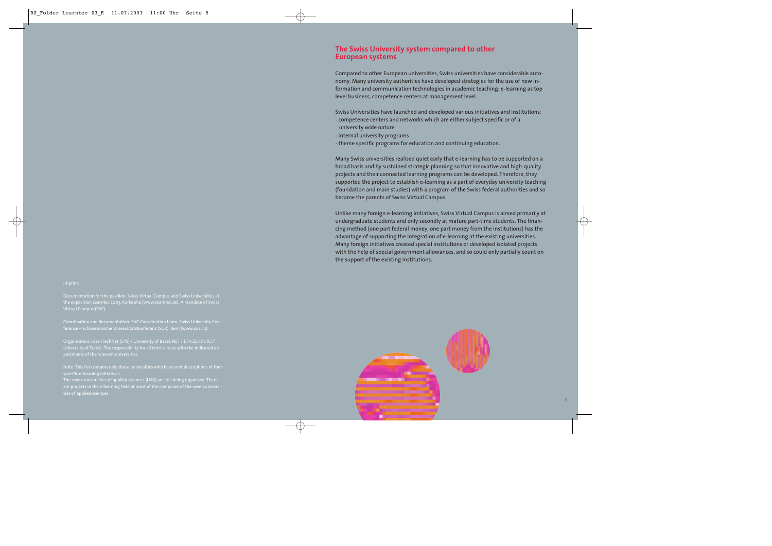Documentation for the pavillon Swiss Virtual Campus and Swiss Universities at Virtual Campus (SVC).

Coordination and documentation: SVC Coordination team, Swiss University Con-

Organisation: LearnTechNet (LTN) / University of Basel, NET / ETH Zurich, ICT/ University of Zurich. The responsibility for all entries rests with the indicated de-

specific e-learning initiatives.

The seven universities of applied sciences (UAS) are still being organised. There ties of applied sciences.

## **The Swiss University system compared to other European systems**

Compared to other European universities, Swiss universities have considerable autonomy. Many university authorities have developed strategies for the use of new information and communication technologies in academic teaching: e-learning as top level business, competence centers at management level.

Swiss Universities have launched and developed various initiatives and institutions:

- competence centers and networks which are either subject specific or of a
- university wide nature
- internal university programs
- theme specific programs for education and continuing education.

Many Swiss universities realised quiet early that e-learning has to be supported on a broad basis and by sustained strategic planning so that innovative and high-quality projects and their connected learning programs can be developed. Therefore, they supported the project to establish e-learning as a part of everyday university teaching (foundation and main studies) with a program of the Swiss federal authorities and so became the parents of Swiss Virtual Campus.

Unlike many foreign e-learning initiatives, Swiss Virtual Campus is aimed primarily at undergraduate students and only secondly at mature part-time students. The financing method (one part federal money, one part money from the institutions) has the advantage of supporting the integration of e-learning at the existing universities. Many foreign initiatives created special institutions or developed isolated projects with the help of special government allowances, and so could only partially count on the support of the existing institutions.

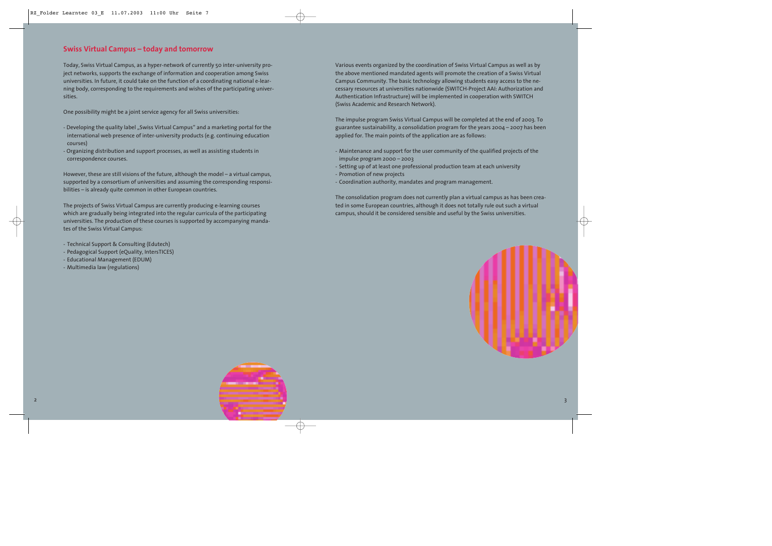## **Swiss Virtual Campus – today and tomorrow**

Today, Swiss Virtual Campus, as a hyper-network of currently 50 inter-university project networks, supports the exchange of information and cooperation among Swiss universities. In future, it could take on the function of a coordinating national e-learning body, corresponding to the requirements and wishes of the participating universities.

One possibility might be a joint service agency for all Swiss universities:

- Developing the quality label "Swiss Virtual Campus" and a marketing portal for the international web presence of inter-university products (e.g. continuing education courses)
- Organizing distribution and support processes, as well as assisting students in correspondence courses.

However, these are still visions of the future, although the model – a virtual campus, supported by a consortium of universities and assuming the corresponding responsibilities – is already quite common in other European countries.

The projects of Swiss Virtual Campus are currently producing e-learning courses which are gradually being integrated into the regular curricula of the participating universities. The production of these courses is supported by accompanying mandates of the Swiss Virtual Campus:

- Technical Support & Consulting (Edutech)
- Pedagogical Support (eQuality, IntersTICES)
- Educational Management (EDUM)
- Multimedia law (regulations)

Various events organized by the coordination of Swiss Virtual Campus as well as by the above mentioned mandated agents will promote the creation of a Swiss Virtual Campus Community. The basic technology allowing students easy access to the necessary resources at universities nationwide (SWITCH-Project AAI: Authorization and Authentication Infrastructure) will be implemented in cooperation with SWITCH (Swiss Academic and Research Network).

The impulse program Swiss Virtual Campus will be completed at the end of 2003. To guarantee sustainability, a consolidation program for the years 2004 – 2007 has been applied for. The main points of the application are as follows:

- Maintenance and support for the user community of the qualified projects of the impulse program 2000 – 2003
- Setting up of at least one professional production team at each university
- Promotion of new projects
- Coordination authority, mandates and program management.

The consolidation program does not currently plan a virtual campus as has been created in some European countries, although it does not totally rule out such a virtual campus, should it be considered sensible and useful by the Swiss universities.



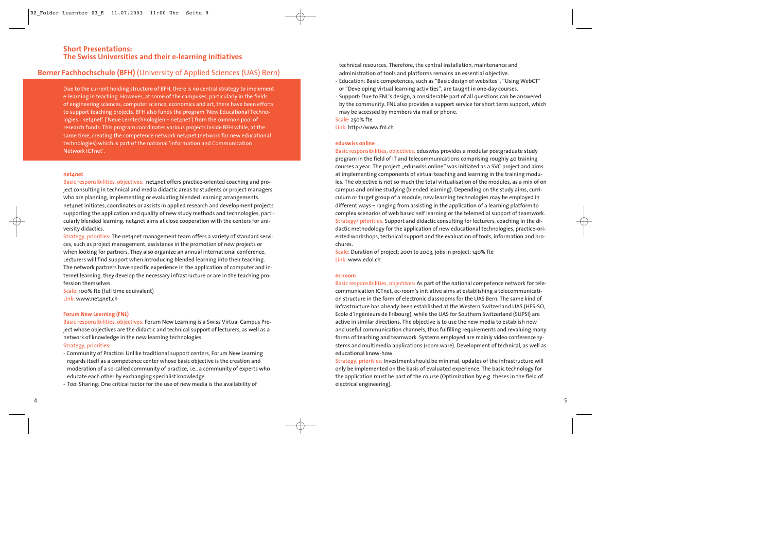## **Berner Fachhochschule (BFH)** (University of Applied Sciences (UAS) Bern)

Due to the current holding structure of BFH, there is no central strategy to implement e-learning in teaching. However, at some of the campuses, particularly in the fields of engineering sciences, computer science, economics and art, there have been efforts to support teaching projects. BFH also funds the program 'New Educational Technologies - netanet' ('Neue Lerntechnologien – netanet') from the common pool of research funds. This program coordinates various projects inside BFH while, at the same time, creating the competence network net anet (network for new educational technologies) which is part of the national 'Information and Communication Network ICTnet'.

#### **net4net**

Basic responsibilities, objectives: netanet offers practice-oriented coaching and project consulting in technical and media didactic areas to students or project managers who are planning, implementing or evaluating blended learning arrangements. net4net initiates, coordinates or assists in applied research and development projects supporting the application and quality of new study methods and technologies, particularly blended learning. net4net aims at close cooperation with the centers for university didactics.

Strategy, priorities: The net4net management team offers a variety of standard services, such as project management, assistance in the promotion of new projects or when looking for partners. They also organize an annual international conference. Lecturers will find support when introducing blended learning into their teaching. The network partners have specific experience in the application of computer and internet learning, they develop the necessary infrastructure or are in the teaching profession themselves.

Scale: 100% fte (full time equivalent) Link: www.net4net.ch

#### **Forum New Learning (FNL)**

Basic responsibilities, objectives: Forum New Learning is a Swiss Virtual Campus Project whose objectives are the didactic and technical support of lecturers, as well as a network of knowledge in the new learning technologies.

#### Strategy, priorities:

- Community of Practice: Unlike traditional support centers, Forum New Learning regards itself as a competence center whose basic objective is the creation and moderation of a so-called community of practice, i.e., a community of experts who educate each other by exchanging specialist knowledge.
- Tool Sharing: One critical factor for the use of new media is the availability of

technical resources. Therefore, the central installation, maintenance and administration of tools and platforms remains an essential objective.

- Education: Basic competences, such as "Basic design of websites", "Using WebCT" or "Developing virtual learning activities", are taught in one-day courses.
- Support: Due to FNL's design, a considerable part of all questions can be answered by the community. FNL also provides a support service for short term support, which may be accessed by members via mail or phone.

Scale: 250% fte

Link: http://www.fnl.ch

#### **eduswiss online**

Basic responsibilities, objectives: eduswiss provides a modular postgraduate study program in the field of IT and telecommunications comprising roughly 40 training courses a year. The project "eduswiss online" was initiated as a SVC project and aims at implementing components of virtual teaching and learning in the training modules. The objective is not so much the total virtualisation of the modules, as a mix of on campus and online studying (blended learning). Depending on the study aims, curriculum or target group of a module, new learning technologies may be employed in different ways – ranging from assisting in the application of a learning platform to complex scenarios of web based self learning or the telemedial support of teamwork. Strategy/ priorities: Support and didactic consulting for lecturers, coaching in the didactic methodology for the application of new educational technologies, practice-oriented workshops, technical support and the evaluation of tools, information and brochures.

Scale: Duration of project: 2001 to 2003, jobs in project: 140% fte Link: www.edol.ch

#### **ec-room**

Basic responsibilities, objectives: As part of the national competence network for telecommunication ICTnet, ec-room's initiative aims at establishing a telecommunication structure in the form of electronic classrooms for the UAS Bern. The same kind of infrastructure has already been established at the Western Switzerland UAS (HES-SO, Ecole d'ingénieurs de Fribourg), while the UAS for Southern Switzerland (SUPSI) are active in similar directions. The objective is to use the new media to establish new and useful communication channels, thus fulfilling requirements and revaluing many forms of teaching and teamwork. Systems employed are mainly video conference systems and multimedia applications (room ware). Development of technical, as well as educational know-how.

Strategy, priorities: Investment should be minimal, updates of the infrastructure will only be implemented on the basis of evaluated experience. The basic technology for the application must be part of the course (Optimization by e.g. theses in the field of electrical engineering).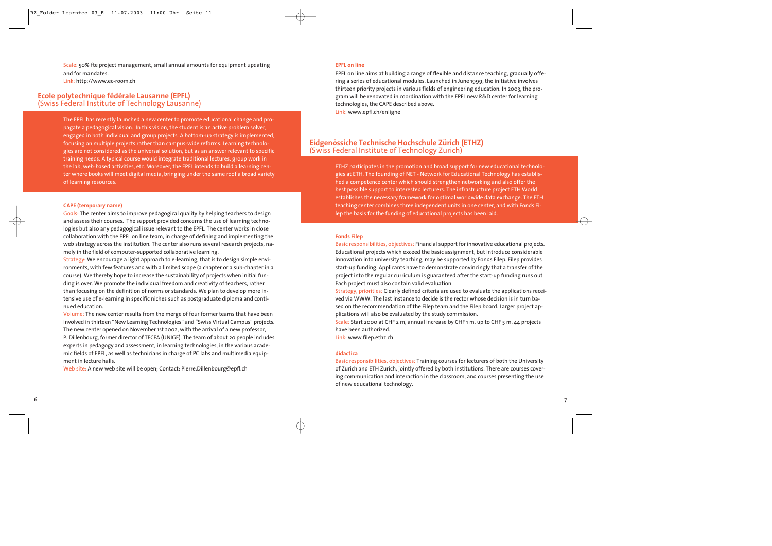Scale: 50% fte project management, small annual amounts for equipment updating and for mandates. Link: http://www.ec-room.ch

# **Ecole polytechnique fédérale Lausanne (EPFL)** (Swiss Federal Institute of Technology Lausanne)

The EPFL has recently launched a new center to promote educational change and propagate a pedagogical vision. In this vision, the student is an active problem solver, engaged in both individual and group projects. A bottom-up strategy is implemented, focusing on multiple projects rather than campus-wide reforms. Learning technologies are not considered as the universal solution, but as an answer relevant to specific training needs. A typical course would integrate traditional lectures, group work in the lab, web-based activities, etc. Moreover, the EPFL intends to build a learning center where books will meet digital media, bringing under the same roof a broad variety of learning resources.

#### **CAPE (temporary name)**

Goals: The center aims to improve pedagogical quality by helping teachers to design and assess their courses. The support provided concerns the use of learning technologies but also any pedagogical issue relevant to the EPFL. The center works in close collaboration with the EPFL on line team, in charge of defining and implementing the web strategy across the institution. The center also runs several research projects, namely in the field of computer-supported collaborative learning.

Strategy: We encourage a light approach to e-learning, that is to design simple environments, with few features and with a limited scope (a chapter or a sub-chapter in a course). We thereby hope to increase the sustainability of projects when initial funding is over. We promote the individual freedom and creativity of teachers, rather than focusing on the definition of norms or standards. We plan to develop more intensive use of e-learning in specific niches such as postgraduate diploma and continued education.

Volume: The new center results from the merge of four former teams that have been involved in thirteen "New Learning Technologies" and "Swiss Virtual Campus" projects. The new center opened on November 1st 2002, with the arrival of a new professor, P. Dillenbourg, former director of TECFA (UNIGE). The team of about 20 people includes experts in pedagogy and assessment, in learning technologies, in the various academic fields of EPFL, as well as technicians in charge of PC labs and multimedia equipment in lecture halls.

Web site: A new web site will be open; Contact: Pierre.Dillenbourg@epfl.ch

#### **EPFL on line**

EPFL on line aims at building a range of flexible and distance teaching, gradually offering a series of educational modules. Launched in June 1999, the initiative involves thirteen priority projects in various fields of engineering education. In 2003, the program will be renovated in coordination with the EPFL new R&D center for learning technologies, the CAPE described above. Link: www.epfl.ch/enligne

# **Eidgenössiche Technische Hochschule Zürich (ETHZ)** (Swiss Federal Institute of Technology Zurich)

ETHZ participates in the promotion and broad support for new educational technologies at ETH. The founding of NET - Network for Educational Technology has established a competence center which should strengthen networking and also offer the best possible support to interested lecturers. The infrastructure project ETH World establishes the necessary framework for optimal worldwide data exchange. The ETH teaching center combines three independent units in one center, and with Fonds Filep the basis for the funding of educational projects has been laid.

#### **Fonds Filep**

Basic responsibilities, objectives: Financial support for innovative educational projects. Educational projects which exceed the basic assignment, but introduce considerable innovation into university teaching, may be supported by Fonds Filep. Filep provides start-up funding. Applicants have to demonstrate convincingly that a transfer of the project into the regular curriculum is guaranteed after the start-up funding runs out. Each project must also contain valid evaluation.

Strategy, priorities: Clearly defined criteria are used to evaluate the applications received via WWW. The last instance to decide is the rector whose decision is in turn based on the recommendation of the Filep team and the Filep board. Larger project applications will also be evaluated by the study commission.

Scale: Start 2000 at CHF 2 m, annual increase by CHF 1 m, up to CHF 5 m. 44 projects have been authorized.

Link: www.filep.ethz.ch

#### **didactica**

Basic responsibilities, objectives: Training courses for lecturers of both the University of Zurich and ETH Zurich, jointly offered by both institutions. There are courses covering communication and interaction in the classroom, and courses presenting the use of new educational technology.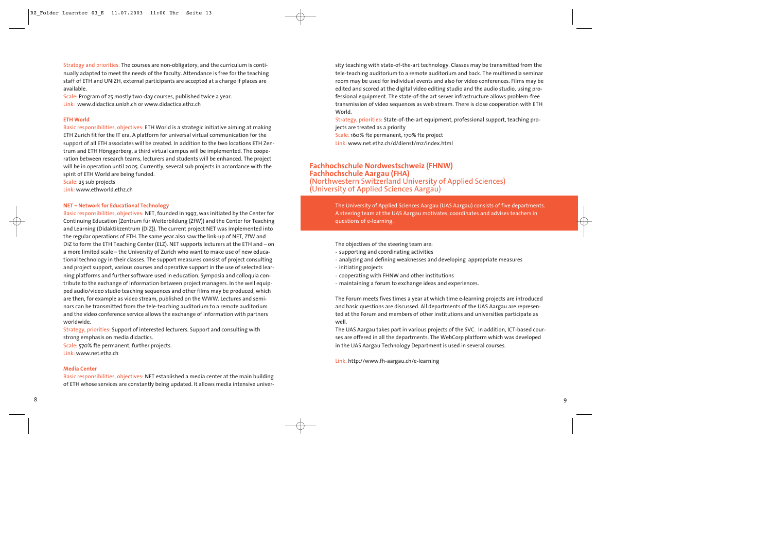Strategy and priorities: The courses are non-obligatory, and the curriculum is continually adapted to meet the needs of the faculty. Attendance is free for the teaching staff of ETH and UNIZH, external participants are accepted at a charge if places are available.

Scale: Program of 25 mostly two-day courses, published twice a year. Link: www.didactica.unizh.ch or www.didactica.ethz.ch

#### **ETH World**

Basic responsibilities, objectives: ETH World is a strategic initiative aiming at making ETH Zurich fit for the IT era. A platform for universal virtual communication for the support of all ETH associates will be created. In addition to the two locations ETH Zentrum and ETH Hönggerberg, a third virtual campus will be implemented. The cooperation between research teams, lecturers and students will be enhanced. The project will be in operation until 2005. Currently, several sub projects in accordance with the spirit of ETH World are being funded.

Scale: 25 sub projects Link: www.ethworld.ethz.ch

#### **NET – Network for Educational Technology**

Basic responsibilities, objectives: NET, founded in 1997, was initiated by the Center for Continuing Education (Zentrum für Weiterbildung (ZfW)) and the Center for Teaching and Learning (Didaktikzentrum (DiZ)). The current project NET was implemented into the regular operations of ETH. The same year also saw the link-up of NET, ZfW and DiZ to form the ETH Teaching Center (ELZ). NET supports lecturers at the ETH and – on a more limited scale – the University of Zurich who want to make use of new educational technology in their classes. The support measures consist of project consulting and project support, various courses and operative support in the use of selected learning platforms and further software used in education. Symposia and colloquia contribute to the exchange of information between project managers. In the well equipped audio/video studio teaching sequences and other films may be produced, which are then, for example as video stream, published on the WWW. Lectures and seminars can be transmitted from the tele-teaching auditorium to a remote auditorium and the video conference service allows the exchange of information with partners worldwide.

Strategy, priorities: Support of interested lecturers. Support and consulting with strong emphasis on media didactics.

Scale: 570% fte permanent, further projects. Link: www.net.ethz.ch

#### **Media Center**

Basic responsibilities, objectives: NET established a media center at the main building of ETH whose services are constantly being updated. It allows media intensive university teaching with state-of-the-art technology. Classes may be transmitted from the tele-teaching auditorium to a remote auditorium and back. The multimedia seminar room may be used for individual events and also for video conferences. Films may be edited and scored at the digital video editing studio and the audio studio, using professional equipment. The state-of-the art server infrastructure allows problem-free transmission of video sequences as web stream. There is close cooperation with ETH World.

Strategy, priorities: State-of-the-art equipment, professional support, teaching projects are treated as a priority

Scale: 160% fte permanent, 170% fte project

Link: www.net.ethz.ch/d/dienst/mz/index.html

# **Fachhochschule Nordwestschweiz (FHNW)**

**(Northwestern Switzerland University of Applied Sciences)** (University of Applied Sciences)

The University of Applied Sciences Aargau (UAS Aargau) consists of five departments. A steering team at the UAS Aargau motivates, coordinates and advises teachers in questions of e-learning.

The objectives of the steering team are:

- supporting and coordinating activities
- analyzing and defining weaknesses and developing appropriate measures
- initiating projects
- cooperating with FHNW and other institutions
- maintaining a forum to exchange ideas and experiences.

The Forum meets fives times a year at which time e-learning projects are introduced and basic questions are discussed. All departments of the UAS Aargau are represented at the Forum and members of other institutions and universities participate as well.

The UAS Aargau takes part in various projects of the SVC. In addition, ICT-based courses are offered in all the departments. The WebCorp platform which was developed in the UAS Aargau Technology Department is used in several courses.

Link: http://www.fh-aargau.ch/e-learning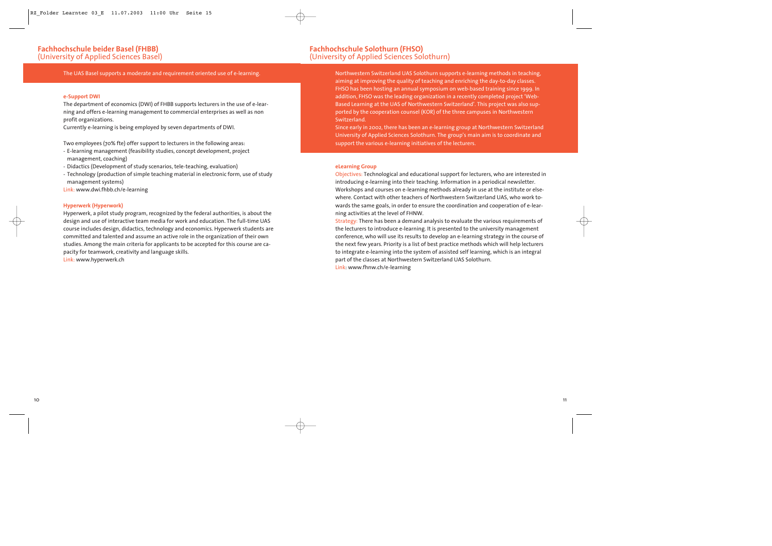The UAS Basel supports a moderate and requirement oriented use of e-learning.

#### **e-Support DWI**

The department of economics (DWI) of FHBB supports lecturers in the use of e-learning and offers e-learning management to commercial enterprises as well as non profit organizations.

Currently e-learning is being employed by seven departments of DWI.

Two employees (70% fte) offer support to lecturers in the following areas:

- E-learning management (feasibility studies, concept development, project management, coaching)
- Didactics (Development of study scenarios, tele-teaching, evaluation)
- Technology (production of simple teaching material in electronic form, use of study management systems)
- Link: www.dwi.fhbb.ch/e-learning

#### **Hyperwerk (Hyperwork)**

Hyperwerk, a pilot study program, recognized by the federal authorities, is about the design and use of interactive team media for work and education. The full-time UAS course includes design, didactics, technology and economics. Hyperwerk students are committed and talented and assume an active role in the organization of their own studies. Among the main criteria for applicants to be accepted for this course are capacity for teamwork, creativity and language skills.

Link: www.hyperwerk.ch

Northwestern Switzerland UAS Solothurn supports e-learning methods in teaching, aiming at improving the quality of teaching and enriching the day-to-day classes. FHSO has been hosting an annual symposium on web-based training since 1999. In addition, FHSO was the leading organization in a recently completed project 'Web-Based Learning at the UAS of Northwestern Switzerland'. This project was also supported by the cooperation counsel (KOR) of the three campuses in Northwestern Switzerland.

Since early in 2002, there has been an e-learning group at Northwestern Switzerland University of Applied Sciences Solothurn. The group's main aim is to coordinate and support the various e-learning initiatives of the lecturers.

#### **eLearning Group**

Objectives: Technological and educational support for lecturers, who are interested in introducing e-learning into their teaching. Information in a periodical newsletter. Workshops and courses on e-learning methods already in use at the institute or elsewhere. Contact with other teachers of Northwestern Switzerland UAS, who work towards the same goals, in order to ensure the coordination and cooperation of e-learning activities at the level of FHNW.

Strategy: There has been a demand analysis to evaluate the various requirements of the lecturers to introduce e-learning. It is presented to the university management conference, who will use its results to develop an e-learning strategy in the course of the next few years. Priority is a list of best practice methods which will help lecturers to integrate e-learning into the system of assisted self learning, which is an integral part of the classes at Northwestern Switzerland UAS Solothurn. Link: www.fhnw.ch/e-learning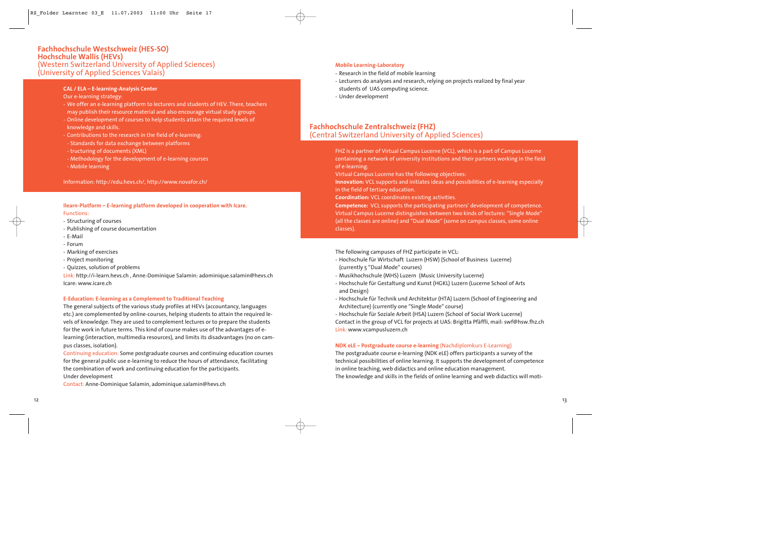## **Fachhochschule Westschweiz (HES-SO) Hochschule Wallis (HEVs)**  (Western Switzerland University of Applied Sciences) (University of Applied Sciences Valais)

**CAL / ELA – E-learning-Analysis Center**

- Our e-learning strategy:<br>- We offer an e-learning platform to lecturers and students of HEV. There, teachers may publish their resource material and also encourage virtual study groups.
- Online development of courses to help students attain the required levels of knowledge and skills.
- Contributions to the research in the field of e-learning:
- Standards for data exchange between platforms
- tructuring of documents (XML)
- Methodology for the development of e-learning courses
- Mobile learning

Information: http://edu.hevs.ch/, http://www.novafor.ch/

**Ilearn-Platform – E-learning platform developed in cooperation with Icare.** Functions:

- Structuring of courses
- Publishing of course documentation
- E-Mail
- Forum
- Marking of exercises
- Project monitoring
- Quizzes, solution of problems

Link: http://i-learn.hevs.ch , Anne-Dominique Salamin: adominique.salamin@hevs.ch Icare: www.icare.ch

#### **E-Education: E-learning as a Complement to Traditional Teaching**

The general subjects of the various study profiles at HEVs (accountancy, languages etc.) are complemented by online-courses, helping students to attain the required le vels of knowledge. They are used to complement lectures or to prepare the students for the work in future terms. This kind of course makes use of the advantages of e learning (interaction, multimedia resources), and limits its disadvantages (no on cam pus classes, isolation).

Continuing education: Some postgraduate courses and continuing education courses for the general public use e-learning to reduce the hours of attendance, facilitating the combination of work and continuing education for the participants. Under development

Contact: Anne-Dominique Salamin, adominique.salamin@hevs.ch

### **Mobile Learning-Laboratory**

- Research in the field of mobile learning
- Lecturers do analyses and research, relying on projects realized by final year students of UAS computing science.
- Under development

## **Fachhochschule Zentralschweiz (FHZ)** (Central Switzerland University of Applied Sciences)

FHZ is a partner of Virtual Campus Lucerne (VCL), which is a part of Campus Lucerne containing a network of university institutions and their partners working in the field of e-learning.

Virtual Campus Lucerne has the following objectives:

**Innovation:** VCL supports and initiates ideas and possibilities of e-learning especially in the field of tertiary education.

**Coordination:** VCL coordinates existing activities.

**Competence:** VCL supports the participating partners' development of competence. Virtual Campus Lucerne distinguishes between two kinds of lectures: "Single Mode" (all the classes are online) and "Dual Mode" (some on campus classes, some online classes).

The following campuses of FHZ participate in VCL:

- Hochschule für Wirtschaft Luzern (HSW) (School of Business Lucerne) (currently 5 "Dual Mode" courses)
- Musikhochschule (MHS) Luzern (Music University Lucerne)
- Hochschule für Gestaltung und Kunst (HGKL) Luzern (Lucerne School of Arts and Design)
- Hochschule für Technik und Architektur (HTA) Luzern (School of Engineering and Architecture) (currently one "Single Mode" course)

- Hochschule für Soziale Arbeit (HSA) Luzern (School of Social Work Lucerne) Contact in the group of VCL for projects at UAS: Brigitta Pfäffli, mail: swf@hsw.fhz.ch Link: www.vcampusluzern.ch

### **NDK eLE – Postgraduate course e-learning** (Nachdiplomkurs E-Learning)

The postgraduate course e-learning (NDK eLE) offers participants a survey of the technical possibilities of online learning. It supports the development of competence in online teaching, web didactics and online education management.

The knowledge and skills in the fields of online learning and web didactics will moti-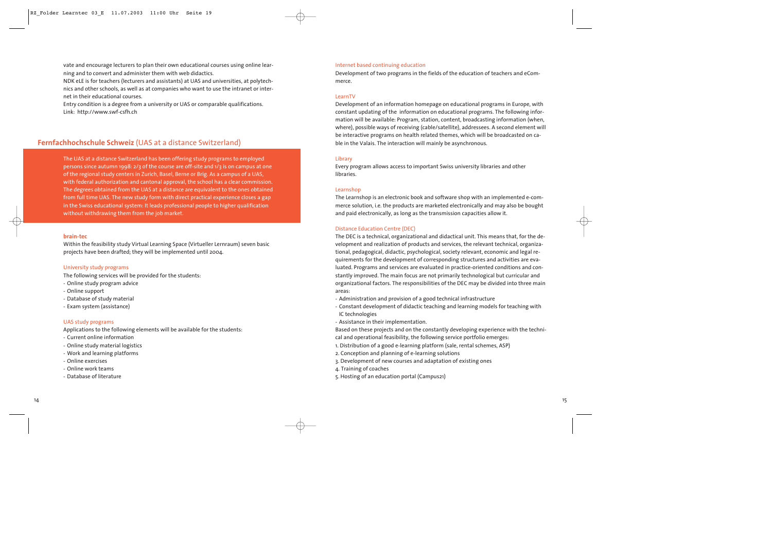vate and encourage lecturers to plan their own educational courses using online learning and to convert and administer them with web didactics.

NDK eLE is for teachers (lecturers and assistants) at UAS and universities, at polytechnics and other schools, as well as at companies who want to use the intranet or internet in their educational courses.

Entry condition is a degree from a university or UAS or comparable qualifications. Link: http://www.swf-csfh.ch

## **Fernfachhochschule Schweiz** (UAS at a distance Switzerland)

The UAS at a distance Switzerland has been offering study programs to employed persons since autumn 1998: 2/3 of the course are off-site and 1/3 is on campus at one of the regional study centers in Zurich, Basel, Berne or Brig. As a campus of a UAS, with federal authorization and cantonal approval, the school has a clear commission. The degrees obtained from the UAS at a distance are equivalent to the ones obtained from full time UAS. The new study form with direct practical experience closes a gap in the Swiss educational system: It leads professional people to higher qualification without withdrawing them from the job market.

#### **brain-tec**

Within the feasibility study Virtual Learning Space (Virtueller Lernraum) seven basic projects have been drafted; they will be implemented until 2004.

#### University study programs

The following services will be provided for the students:

- Online study program advice
- Online support
- Database of study material
- Exam system (assistance)

#### UAS study programs

Applications to the following elements will be available for the students:

- Current online information
- Online study material logistics
- Work and learning platforms
- Online exercises
- Online work teams
- Database of literature

#### Internet based continuing education

Development of two programs in the fields of the education of teachers and eCommerce.

#### LearnTV

Development of an information homepage on educational programs in Europe, with constant updating of the information on educational programs. The following information will be available: Program, station, content, broadcasting information (when, where), possible ways of receiving (cable/satellite), addressees. A second element will be interactive programs on health related themes, which will be broadcasted on cable in the Valais. The interaction will mainly be asynchronous.

#### Library

Every program allows access to important Swiss university libraries and other libraries.

#### Learnshop

The Learnshop is an electronic book and software shop with an implemented e-commerce solution, i.e. the products are marketed electronically and may also be bought and paid electronically, as long as the transmission capacities allow it.

#### Distance Education Centre (DEC)

The DEC is a technical, organizational and didactical unit. This means that, for the development and realization of products and services, the relevant technical, organizational, pedagogical, didactic, psychological, society relevant, economic and legal requirements for the development of corresponding structures and activities are evaluated. Programs and services are evaluated in practice-oriented conditions and constantly improved. The main focus are not primarily technological but curricular and organizational factors. The responsibilities of the DEC may be divided into three main areas:

- Administration and provision of a good technical infrastructure
- Constant development of didactic teaching and learning models for teaching with IC technologies
- Assistance in their implementation.

Based on these projects and on the constantly developing experience with the technical and operational feasibility, the following service portfolio emerges:

- 1. Distribution of a good e-learning platform (sale, rental schemes, ASP)
- 2. Conception and planning of e-learning solutions
- 3. Development of new courses and adaptation of existing ones
- 4. Training of coaches
- 5. Hosting of an education portal (Campus21)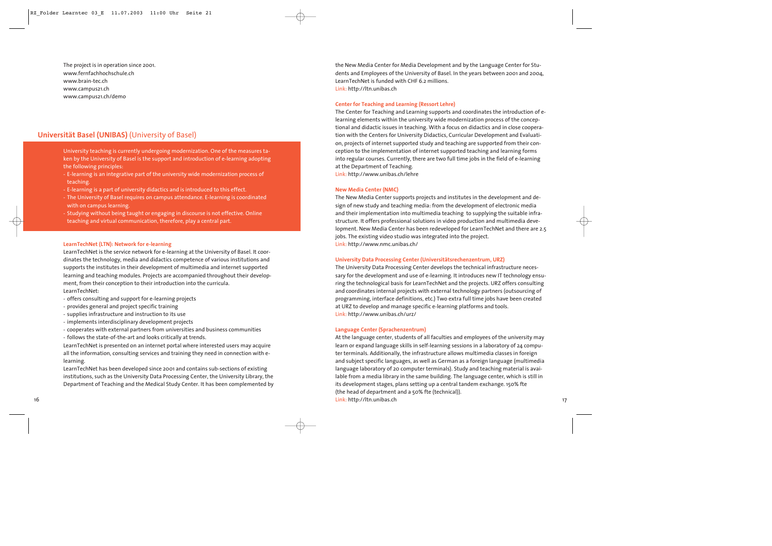The project is in operation since 2001. www.fernfachhochschule.ch www.brain-tec.ch www.campus21.ch www.campus21.ch/demo

## **Universität Basel (UNIBAS)** (University of Basel)

University teaching is currently undergoing modernization. One of the measures taken by the University of Basel is the support and introduction of e-learning adopting the following principles:

- E-learning is an integrative part of the university wide modernization process of teaching.
- E-learning is a part of university didactics and is introduced to this effect.
- The University of Basel requires on campus attendance. E-learning is coordinated with on campus learning.
- Studying without being taught or engaging in discourse is not effective. Online teaching and virtual communication, therefore, play a central part.

#### **LearnTechNet (LTN): Network for e-learning**

LearnTechNet is the service network for e-learning at the University of Basel. It coordinates the technology, media and didactics competence of various institutions and supports the institutes in their development of multimedia and internet supported learning and teaching modules. Projects are accompanied throughout their development, from their conception to their introduction into the curricula. LearnTechNet:

- offers consulting and support for e-learning projects
- provides general and project specific training
- supplies infrastructure and instruction to its use
- implements interdisciplinary development projects
- cooperates with external partners from universities and business communities
- follows the state-of-the-art and looks critically at trends.

LearnTechNet is presented on an internet portal where interested users may acquire all the information, consulting services and training they need in connection with elearning.

LearnTechNet has been developed since 2001 and contains sub-sections of existing institutions, such as the University Data Processing Center, the University Library, the Department of Teaching and the Medical Study Center. It has been complemented by the New Media Center for Media Development and by the Language Center for Students and Employees of the University of Basel. In the years between 2001 and 2004, LearnTechNet is funded with CHF 6.2 millions. Link: http://ltn.unibas.ch

#### **Center for Teaching and Learning (Ressort Lehre)**

The Center for Teaching and Learning supports and coordinates the introduction of elearning elements within the university wide modernization process of the conceptional and didactic issues in teaching. With a focus on didactics and in close cooperation with the Centers for University Didactics, Curricular Development and Evaluation, projects of internet supported study and teaching are supported from their conception to the implementation of internet supported teaching and learning forms into regular courses. Currently, there are two full time jobs in the field of e-learning at the Department of Teaching.

Link: http://www.unibas.ch/lehre

#### **New Media Center (NMC)**

The New Media Center supports projects and institutes in the development and design of new study and teaching media: from the development of electronic media and their implementation into multimedia teaching to supplying the suitable infrastructure. It offers professional solutions in video production and multimedia development. New Media Center has been redeveloped for LearnTechNet and there are 2.5 jobs. The existing video studio was integrated into the project. Link: http://www.nmc.unibas.ch/

#### **University Data Processing Center (Universitätsrechenzentrum, URZ)**

The University Data Processing Center develops the technical infrastructure necessary for the development and use of e-learning. It introduces new IT technology ensuring the technological basis for LearnTechNet and the projects. URZ offers consulting and coordinates internal projects with external technology partners (outsourcing of programming, interface definitions, etc.) Two extra full time jobs have been created at URZ to develop and manage specific e-learning platforms and tools. Link: http://www.unibas.ch/urz/

#### **Language Center (Sprachenzentrum)**

At the language center, students of all faculties and employees of the university may learn or expand language skills in self-learning sessions in a laboratory of 24 computer terminals. Additionally, the infrastructure allows multimedia classes in foreign and subject specific languages, as well as German as a foreign language (multimedia language laboratory of 20 computer terminals). Study and teaching material is available from a media library in the same building. The language center, which is still in its development stages, plans setting up a central tandem exchange. 150% fte (the head of department and a 50% fte (technical)). Link: http://ltn.unibas.ch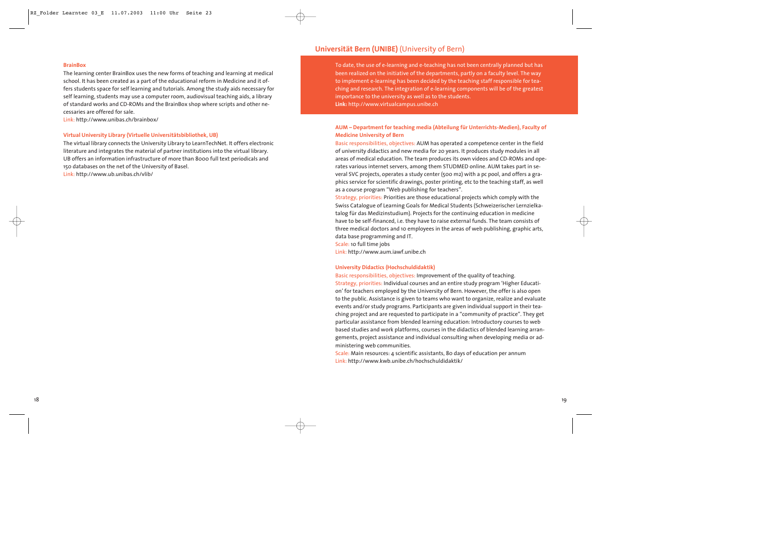#### **BrainBox**

The learning center BrainBox uses the new forms of teaching and learning at medical school. It has been created as a part of the educational reform in Medicine and it offers students space for self learning and tutorials. Among the study aids necessary for self learning, students may use a computer room, audiovisual teaching aids, a library of standard works and CD-ROMs and the BrainBox shop where scripts and other necessaries are offered for sale.

Link: http://www.unibas.ch/brainbox/

#### **Virtual University Library (Virtuelle Universitätsbibliothek, UB)**

The virtual library connects the University Library to LearnTechNet. It offers electronic literature and integrates the material of partner institutions into the virtual library. UB offers an information infrastructure of more than 8000 full text periodicals and 150 databases on the net of the University of Basel. Link: http://www.ub.unibas.ch/vlib/

### **Universität Bern (UNIBE)** (University of Bern)

To date, the use of e-learning and e-teaching has not been centrally planned but has been realized on the initiative of the departments, partly on a faculty level. The way to implement e-learning has been decided by the teaching staff responsible for teaching and research. The integration of e-learning components will be of the greatest importance to the university as well as to the students. **Link:** http://www.virtualcampus.unibe.ch

#### **AUM – Department for teaching media (Abteilung für Unterrichts-Medien), Faculty of Medicine University of Bern**

Basic responsibilities, objectives: AUM has operated a competence center in the field of university didactics and new media for 20 years. It produces study modules in all areas of medical education. The team produces its own videos and CD-ROMs and operates various internet servers, among them STUDMED online. AUM takes part in several SVC projects, operates a study center (500 m2) with a pc pool, and offers a graphics service for scientific drawings, poster printing, etc to the teaching staff, as well as a course program "Web publishing for teachers".

Strategy, priorities: Priorities are those educational projects which comply with the Swiss Catalogue of Learning Goals for Medical Students (Schweizerischer Lernzielkatalog für das Medizinstudium). Projects for the continuing education in medicine have to be self-financed, i.e. they have to raise external funds. The team consists of three medical doctors and 10 employees in the areas of web publishing, graphic arts, data base programming and IT.

Scale: 10 full time jobs

Link: http://www.aum.iawf.unibe.ch

#### **University Didactics (Hochschuldidaktik)**

Basic responsibilities, objectives: Improvement of the quality of teaching. Strategy, priorities: Individual courses and an entire study program 'Higher Education' for teachers employed by the University of Bern. However, the offer is also open to the public. Assistance is given to teams who want to organize, realize and evaluate events and/or study programs. Participants are given individual support in their teaching project and are requested to participate in a "community of practice". They get particular assistance from blended learning education: Introductory courses to web based studies and work platforms, courses in the didactics of blended learning arrangements, project assistance and individual consulting when developing media or administering web communities.

Scale: Main resources: 4 scientific assistants, 80 days of education per annum Link: http://www.kwb.unibe.ch/hochschuldidaktik/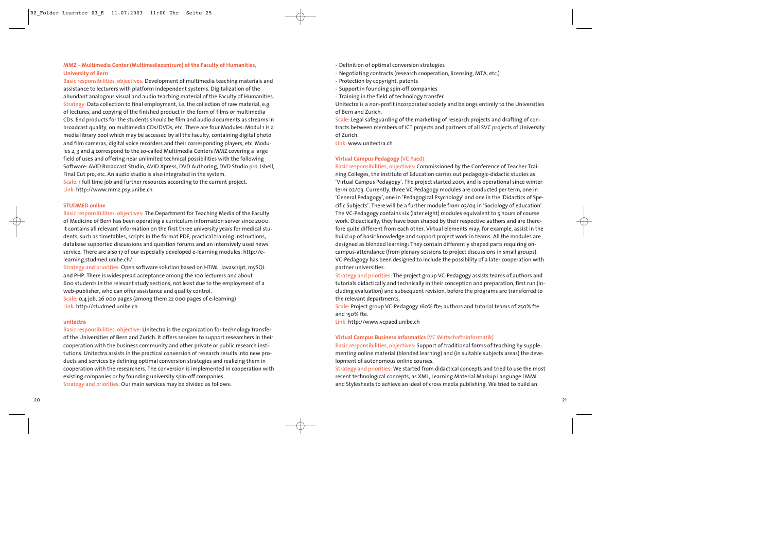### **MMZ – Multimedia Center (Multimediazentrum) of the Faculty of Humanities, University of Bern**

Basic responsibilities, objectives: Development of multimedia teaching materials and assistance to lecturers with platform independent systems. Digitalization of the abundant analogous visual and audio teaching material of the Faculty of Humanities. Strategy: Data collection to final employment, i.e. the collection of raw material, e.g. of lectures, and copying of the finished product in the form of films or multimedia CDs. End products for the students should be film and audio documents as streams in broadcast quality, on multimedia CDs/DVDs, etc. There are four Modules: Modul 1 is a media library pool which may be accessed by all the faculty, containing digital photo and film cameras, digital voice recorders and their corresponding players, etc. Modules 2, 3 and 4 correspond to the so-called Multimedia Centers MMZ covering a large field of uses and offering near unlimited technical possibilities with the following Software: AVID Broadcast Studio, AVID Xpress, DVD Authoring, DVD Studio pro, Ishell, Final Cut pro, etc. An audio studio is also integrated in the system.

Scale: 1 full time job and further resources according to the current project. Link: http://www.mmz.psy.unibe.ch

#### **STUDMED online**

Basic responsibilities, objectives: The Department for Teaching Media of the Faculty of Medicine of Bern has been operating a curriculum information server since 2000. It contains all relevant information on the first three university years for medical students, such as timetables, scripts in the format PDF, practical training instructions, database supported discussions and question forums and an intensively used news service. There are also 17 of our especially developed e-learning modules: http://elearning.studmed.unibe.ch/

Strategy and priorities: Open software solution based on HTML, Javascript, mySQL and PHP. There is widespread acceptance among the 100 lecturers and about 600 students in the relevant study sections, not least due to the employment of a web-publisher, who can offer assistance and quality control.

Scale: 0,4 job, 26 000 pages (among them 22 000 pages of e-learning) Link: http://studmed.unibe.ch

#### **unitectra**

Basic responsibilities, objective: Unitectra is the organization for technology transfer of the Universities of Bern and Zurich. It offers services to support researchers in their cooperation with the business community and other private or public research institutions. Unitectra assists in the practical conversion of research results into new products and services by defining optimal conversion strategies and realizing them in cooperation with the researchers. The conversion is implemented in cooperation with existing companies or by founding university spin-off companies. Strategy and priorities: Our main services may be divided as follows:

- Definition of optimal conversion strategies
- Negotiating contracts (research cooperation, licensing, MTA, etc.)
- Protection by copyright, patents
- Support in founding spin-off companies
- Training in the field of technology transfer

Unitectra is a non-profit incorporated society and belongs entirely to the Universities of Bern and Zurich.

Scale: Legal safeguarding of the marketing of research projects and drafting of contracts between members of ICT projects and partners of all SVC projects of University of Zurich.

Link: www.unitectra.ch

#### **Virtual Campus Pedagogy** (VC Paed)

Basic responsibilities, objectives: Commissioned by the Conference of Teacher Training Colleges, the Institute of Education carries out pedagogic-didactic studies as 'Virtual Campus Pedagogy'. The project started 2001, and is operational since winter term 02/03. Currently, three VC Pedagogy modules are conducted per term, one in 'General Pedagogy', one in 'Pedagogical Psychology' and one in the 'Didactics of Specific Subjects'. There will be a further module from 03/04 in 'Sociology of education'. The VC-Pedagogy contains six (later eight) modules equivalent to 5 hours of course work. Didactically, they have been shaped by their respective authors and are therefore quite different from each other. Virtual elements may, for example, assist in the build up of basic knowledge and support project work in teams. All the modules are designed as blended learning: They contain differently shaped parts requiring oncampus-attendance (from plenary sessions to project discussions in small groups). VC-Pedagogy has been designed to include the possibility of a later cooperation with partner universities.

Strategy and priorities: The project group VC-Pedagogy assists teams of authors and tutorials didactically and technically in their conception and preparation, first run (including evaluation) and subsequent revision, before the programs are transferred to the relevant departments.

Scale: Project group VC-Pedagogy 160% fte; authors and tutorial teams of 250% fte and 150% fte.

Link: http://www.vcpaed.unibe.ch

#### **Virtual Campus Business Informatics** (VC Wirtschaftsinformatik)

Basic responsibilities, objectives: Support of traditional forms of teaching by supplementing online material (blended learning) and (in suitable subjects areas) the development of autonomous online courses.

Strategy and priorities: We started from didactical concepts and tried to use the most recent technological concepts, as XML, Learning Material Markup Language LMML and Stylesheets to achieve an ideal of cross media publishing. We tried to build an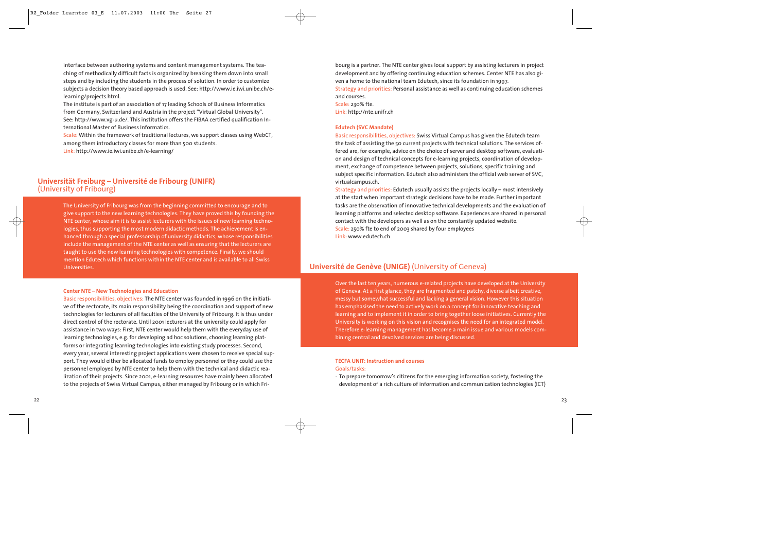interface between authoring systems and content management systems. The teaching of methodically difficult facts is organized by breaking them down into small steps and by including the students in the process of solution. In order to customize subjects a decision theory based approach is used. See: http://www.ie.iwi.unibe.ch/elearning/projects.html.

The institute is part of an association of 17 leading Schools of Business Informatics from Germany, Switzerland and Austria in the project "Virtual Global University". See: http://www.vg-u.de/. This institution offers the FIBAA certified qualification International Master of Business Informatics.

Scale: Within the framework of traditional lectures, we support classes using WebCT, among them introductory classes for more than 500 students.

Link: http://www.ie.iwi.unibe.ch/e-learning/

# **Universität Freiburg – Université de Fribourg (UNIFR)** (University of Fribourg)

The University of Fribourg was from the beginning committed to encourage and to give support to the new learning technologies. They have proved this by founding the NTE center, whose aim it is to assist lecturers with the issues of new learning technologies, thus supporting the most modern didactic methods. The achievement is enhanced through a special professorship of university didactics, whose responsibilities include the management of the NTE center as well as ensuring that the lecturers are taught to use the new learning technologies with competence. Finally, we should mention Edutech which functions within the NTE center and is available to all Swiss Universities.

#### **Center NTE – New Technologies and Education**

Basic responsibilities, objectives: The NTE center was founded in 1996 on the initiative of the rectorate, its main responsibility being the coordination and support of new technologies for lecturers of all faculties of the University of Fribourg. It is thus under direct control of the rectorate. Until 2001 lecturers at the university could apply for assistance in two ways: First, NTE center would help them with the everyday use of learning technologies, e.g. for developing ad hoc solutions, choosing learning platforms or integrating learning technologies into existing study processes. Second, every year, several interesting project applications were chosen to receive special support. They would either be allocated funds to employ personnel or they could use the personnel employed by NTE center to help them with the technical and didactic realization of their projects. Since 2001, e-learning resources have mainly been allocated to the projects of Swiss Virtual Campus, either managed by Fribourg or in which Fribourg is a partner. The NTE center gives local support by assisting lecturers in project development and by offering continuing education schemes. Center NTE has also given a home to the national team Edutech, since its foundation in 1997.

Strategy and priorities: Personal assistance as well as continuing education schemes and courses.

Scale: 230% fte. Link: http://nte.unifr.ch

#### **Edutech (SVC Mandate)**

Basic responsibilities, objectives: Swiss Virtual Campus has given the Edutech team the task of assisting the 50 current projects with technical solutions. The services offered are, for example, advice on the choice of server and desktop software, evaluation and design of technical concepts for e-learning projects, coordination of development, exchange of competence between projects, solutions, specific training and subject specific information. Edutech also administers the official web server of SVC, virtualcampus.ch.

Strategy and priorities: Edutech usually assists the projects locally – most intensively at the start when important strategic decisions have to be made. Further important tasks are the observation of innovative technical developments and the evaluation of learning platforms and selected desktop software. Experiences are shared in personal contact with the developers as well as on the constantly updated website. Scale: 250% fte to end of 2003 shared by four employees Link: www.edutech.ch

## **Université de Genève (UNIGE)** (University of Geneva)

Over the last ten years, numerous e-related projects have developed at the University of Geneva. At a first glance, they are fragmented and patchy, diverse albeit creative, messy but somewhat successful and lacking a general vision. However this situation has emphasised the need to actively work on a concept for innovative teaching and learning and to implement it in order to bring together loose initiatives. Currently the University is working on this vision and recognises the need for an integrated model. Therefore e-learning management has become a main issue and various models combining central and devolved services are being discussed.

#### **TECFA UNIT: Instruction and courses**  Goals/tasks:

- To prepare tomorrow's citizens for the emerging information society, fostering the development of a rich culture of information and communication technologies (ICT)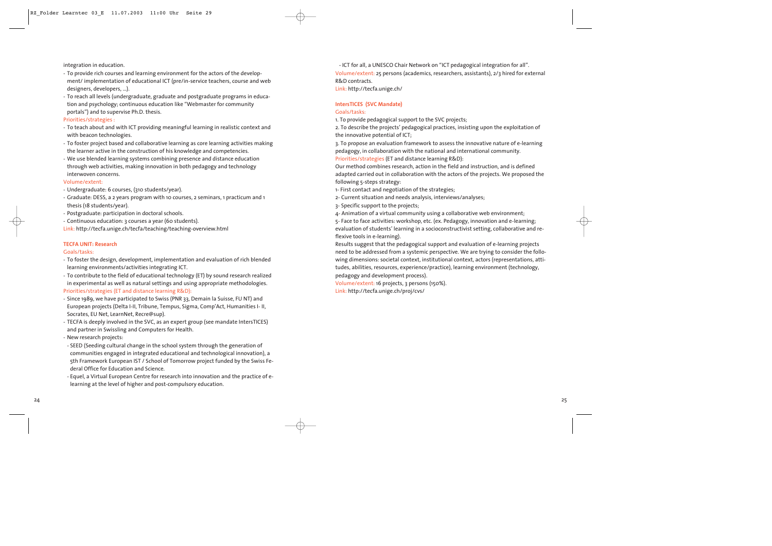integration in education.

- To provide rich courses and learning environment for the actors of the development/ implementation of educational ICT (pre/in-service teachers, course and web designers, developers, …).
- To reach all levels (undergraduate, graduate and postgraduate programs in education and psychology; continuous education like "Webmaster for community portals") and to supervise Ph.D. thesis.

#### Priorities/strategies :

- To teach about and with ICT providing meaningful learning in realistic context and with beacon technologies.
- To foster project based and collaborative learning as core learning activities making the learner active in the construction of his knowledge and competencies.
- We use blended learning systems combining presence and distance education through web activities, making innovation in both pedagogy and technology interwoven concerns.

#### Volume/extent:

- Undergraduate: 6 courses, (310 students/year).
- Graduate: DESS, a 2 years program with 10 courses, 2 seminars, 1 practicum and 1 thesis (18 students/year).
- Postgraduate: participation in doctoral schools.
- Continuous education: 3 courses a year (60 students).

Link: http://tecfa.unige.ch/tecfa/teaching/teaching-overview.html

#### **TECFA UNIT: Research**

#### Goals/tasks:

- To foster the design, development, implementation and evaluation of rich blended learning environments/activities integrating ICT.
- To contribute to the field of educational technology (ET) by sound research realized in experimental as well as natural settings and using appropriate methodologies.

#### Priorities/strategies (ET and distance learning R&D):

- Since 1989, we have participated to Swiss (PNR 33, Demain la Suisse, FU NT) and European projects (Delta I-II, Tribune, Tempus, Sigma, Comp'Act, Humanities I- II, Socrates, EU Net, LearnNet, Recre@sup).
- TECFA is deeply involved in the SVC, as an expert group (see mandate IntersTICES) and partner in Swissling and Computers for Health.
- New research projects:
- SEED (Seeding cultural change in the school system through the generation of communities engaged in integrated educational and technological innovation), a 5th Framework European IST / School of Tomorrow project funded by the Swiss Federal Office for Education and Science.
- Equel, a Virtual European Centre for research into innovation and the practice of elearning at the level of higher and post-compulsory education.

- ICT for all, a UNESCO Chair Network on "ICT pedagogical integration for all". Volume/extent: 25 persons (academics, researchers, assistants), 2/3 hired for external R&D contracts.

Link: http://tecfa.unige.ch/

#### **IntersTICES (SVC Mandate)**

### Goals/tasks:

1. To provide pedagogical support to the SVC projects;

2. To describe the projects' pedagogical practices, insisting upon the exploitation of the innovative potential of ICT;

3. To propose an evaluation framework to assess the innovative nature of e-learning pedagogy, in collaboration with the national and international community. Priorities/strategies (ET and distance learning R&D):

Our method combines research, action in the field and instruction, and is defined adapted carried out in collaboration with the actors of the projects. We proposed the following 5-steps strategy:

- 1- First contact and negotiation of the strategies;
- 2- Current situation and needs analysis, interviews/analyses;
- 3- Specific support to the projects;
- 4- Animation of a virtual community using a collaborative web environment;

5- Face to face activities: workshop, etc. (ex. Pedagogy, innovation and e-learning; evaluation of students' learning in a socioconstructivist setting, collaborative and reflexive tools in e-learning).

Results suggest that the pedagogical support and evaluation of e-learning projects need to be addressed from a systemic perspective. We are trying to consider the following dimensions: societal context, institutional context, actors (representations, attitudes, abilities, resources, experience/practice), learning environment (technology, pedagogy and development process).

Volume/extent: 16 projects, 3 persons (150%).

Link: http://tecfa.unige.ch/proj/cvs/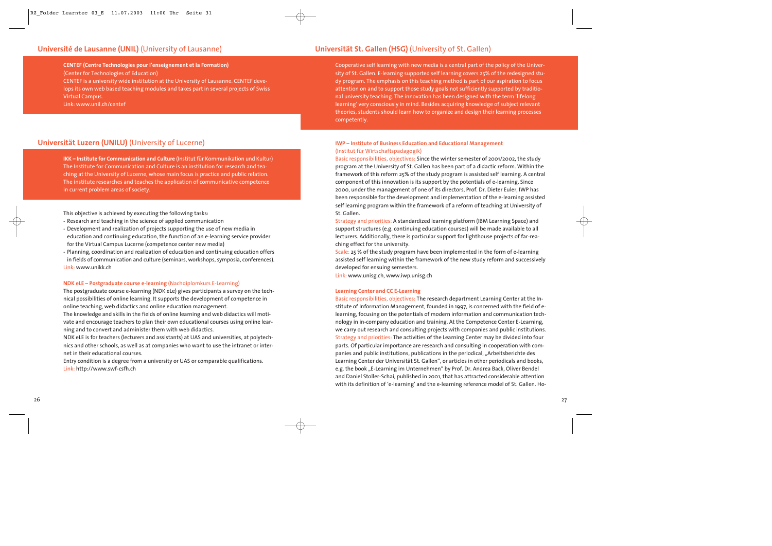## **Université de Lausanne (UNIL)** (University of Lausanne) **Universität St. Gallen (HSG)** (University of St. Gallen)

**CENTEF (Centre Technologies pour l'enseignement et la Formation)**  (Center for Technologies of Education)

CENTEF is a university wide institution at the University of Lausanne. CENTEF develops its own web based teaching modules and takes part in several projects of Swiss Virtual Campus.

Link: www.unil.ch/centef

## **Universität Luzern (UNILU)** (University of Lucerne)

**IKK – Institute for Communication and Culture** (Institut für Kommunikation und Kultur) The Institute for Communication and Culture is an institution for research and teaching at the University of Lucerne, whose main focus is practice and public relation. The institute researches and teaches the application of communicative competence in current problem areas of society.

This objective is achieved by executing the following tasks:

- Research and teaching in the science of applied communication
- Development and realization of projects supporting the use of new media in education and continuing education, the function of an e-learning service provider for the Virtual Campus Lucerne (competence center new media)
- Planning, coordination and realization of education and continuing education offers in fields of communication and culture (seminars, workshops, symposia, conferences). Link: www.unikk.ch

#### **NDK eLE – Postgraduate course e-learning** (Nachdiplomkurs E-Learning)

The postgraduate course e-learning (NDK eLe) gives participants a survey on the technical possibilities of online learning. It supports the development of competence in online teaching, web didactics and online education management.

The knowledge and skills in the fields of online learning and web didactics will motivate and encourage teachers to plan their own educational courses using online learning and to convert and administer them with web didactics.

NDK eLE is for teachers (lecturers and assistants) at UAS and universities, at polytechnics and other schools, as well as at companies who want to use the intranet or internet in their educational courses.

Entry condition is a degree from a university or UAS or comparable qualifications. Link: http://www.swf-csfh.ch

Cooperative self learning with new media is a central part of the policy of the University of St. Gallen. E-learning supported self learning covers 25% of the redesigned study program. The emphasis on this teaching method is part of our aspiration to focus attention on and to support those study goals not sufficiently supported by traditional university teaching. The innovation has been designed with the term 'lifelong learning' very consciously in mind. Besides acquiring knowledge of subject relevant theories, students should learn how to organize and design their learning processes competently.

#### **IWP – Institute of Business Education and Educational Management** (Institut für Wirtschaftspädagogik)

Basic responsibilities, objectives: Since the winter semester of 2001/2002, the study program at the University of St. Gallen has been part of a didactic reform. Within the framework of this reform 25% of the study program is assisted self learning. A central component of this innovation is its support by the potentials of e-learning. Since 2000, under the management of one of its directors, Prof. Dr. Dieter Euler, IWP has been responsible for the development and implementation of the e-learning assisted self learning program within the framework of a reform of teaching at University of St. Gallen.

Strategy and priorities: A standardized learning platform (IBM Learning Space) and support structures (e.g. continuing education courses) will be made available to all lecturers. Additionally, there is particular support for lighthouse projects of far-reaching effect for the university.

Scale: 25 % of the study program have been implemented in the form of e-learning assisted self learning within the framework of the new study reform and successively developed for ensuing semesters.

Link: www.unisg.ch, www.iwp.unisg.ch

#### **Learning Center and CC E-Learning**

Basic responsibilities, objectives: The research department Learning Center at the Institute of Information Management, founded in 1997, is concerned with the field of elearning, focusing on the potentials of modern information and communication technology in in-company education and training. At the Competence Center E-Learning, we carry out research and consulting projects with companies and public institutions. Strategy and priorities: The activities of the Learning Center may be divided into four parts. Of particular importance are research and consulting in cooperation with companies and public institutions, publications in the periodical, "Arbeitsberichte des Learning Center der Universität St. Gallen", or articles in other periodicals and books, e.g. the book "E-Learning im Unternehmen" by Prof. Dr. Andrea Back, Oliver Bendel and Daniel Stoller-Schai, published in 2001, that has attracted considerable attention with its definition of 'e-learning' and the e-learning reference model of St. Gallen. Ho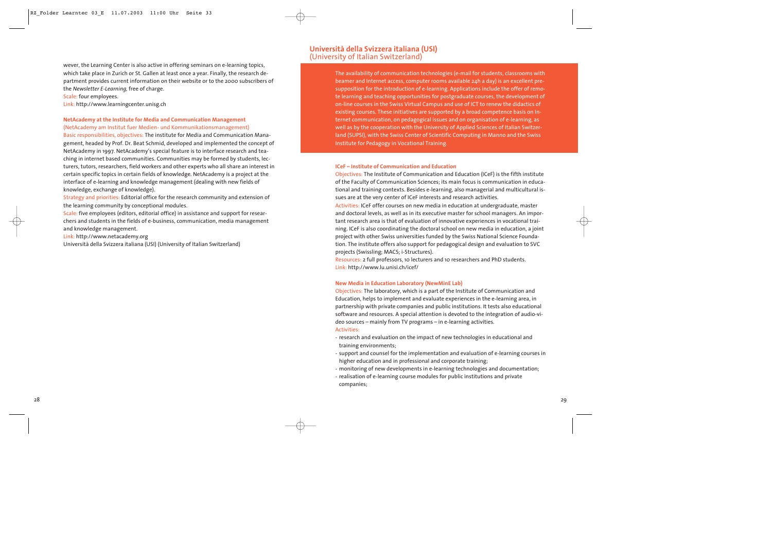wever, the Learning Center is also active in offering seminars on e-learning topics, which take place in Zurich or St. Gallen at least once a year. Finally, the research department provides current information on their website or to the 2000 subscribers of the *Newsletter E-Learning,* free of charge.

#### Scale: four employees.

Link: http://www.learningcenter.unisg.ch

## **NetAcademy at the Institute for Media and Communication Management**

(NetAcademy am Institut fuer Medien- und Kommunikationsmanagement) Basic responsibilities, objectives: The institute for Media and Communication Management, headed by Prof. Dr. Beat Schmid, developed and implemented the concept of NetAcademy in 1997. NetAcademy's special feature is to interface research and teaching in internet based communities. Communities may be formed by students, lecturers, tutors, researchers, field workers and other experts who all share an interest in certain specific topics in certain fields of knowledge. NetAcademy is a project at the interface of e-learning and knowledge management (dealing with new fields of knowledge, exchange of knowledge).

Strategy and priorities: Editorial office for the research community and extension of the learning community by conceptional modules.

Scale: five employees (editors, editorial office) in assistance and support for researchers and students in the fields of e-business, communication, media management and knowledge management.

Link: http://www.netacademy.org

Università della Svizzera italiana (USI) (University of Italian Switzerland)

## **Università della Svizzera italiana (USI)** (University of Italian Switzerland)

The availability of communication technologies (e-mail for students, classrooms with beamer and Internet access, computer rooms available 24h a day) is an excellent presupposition for the introduction of e-learning. Applications include the offer of remote learning and teaching opportunities for postgraduate courses, the development of on-line courses in the Swiss Virtual Campus and use of ICT to renew the didactics of existing courses. These initiatives are supported by a broad competence basis on Internet communication, on pedagogical issues and on organisation of e-learning, as well as by the cooperation with the University of Applied Sciences of Italian Switzerland (SUPSI), with the Swiss Center of Scientific Computing in Manno and the Swiss Institute for Pedagogy in Vocational Training.

#### **ICeF – Institute of Communication and Education**

Objectives: The Institute of Communication and Education (ICeF) is the fifth institute of the Faculty of Communication Sciences; its main focus is communication in educational and training contexts. Besides e-learning, also managerial and multicultural issues are at the very center of ICeF interests and research activities.

Activities: ICeF offer courses on new media in education at undergraduate, master and doctoral levels, as well as in its executive master for school managers. An important research area is that of evaluation of innovative experiences in vocational training. ICeF is also coordinating the doctoral school on new media in education, a joint project with other Swiss universities funded by the Swiss National Science Foundation. The institute offers also support for pedagogical design and evaluation to SVC projects (Swissling; MACS; i-Structures).

Resources: 2 full professors, 10 lecturers and 10 researchers and PhD students. Link: http://www.lu.unisi.ch/icef/

#### **New Media in Education Laboratory (NewMinE Lab)**

Objectives: The laboratory, which is a part of the Institute of Communication and Education, helps to implement and evaluate experiences in the e-learning area, in partnership with private companies and public institutions. It tests also educational software and resources. A special attention is devoted to the integration of audio-video sources – mainly from TV programs – in e-learning activities. Activities:

- research and evaluation on the impact of new technologies in educational and training environments;
- support and counsel for the implementation and evaluation of e-learning courses in higher education and in professional and corporate training;
- monitoring of new developments in e-learning technologies and documentation;
- realisation of e-learning course modules for public institutions and private companies;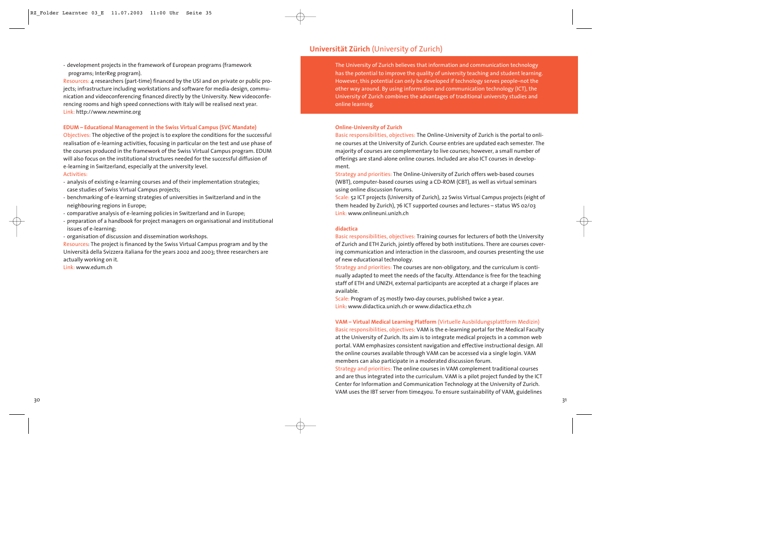- development projects in the framework of European programs (framework programs; InterReg program).

Resources: 4 researchers (part-time) financed by the USI and on private or public projects; infrastructure including workstations and software for media-design, communication and videoconferencing financed directly by the University. New videoconferencing rooms and high speed connections with Italy will be realised next year. Link: http://www.newmine.org

#### **EDUM – Educational Management in the Swiss Virtual Campus (SVC Mandate)**

Objectives: The objective of the project is to explore the conditions for the successful realisation of e-learning activities, focusing in particular on the test and use phase of the courses produced in the framework of the Swiss Virtual Campus program. EDUM will also focus on the institutional structures needed for the successful diffusion of e-learning in Switzerland, especially at the university level.

#### Activities:

- analysis of existing e-learning courses and of their implementation strategies; case studies of Swiss Virtual Campus projects;
- benchmarking of e-learning strategies of universities in Switzerland and in the neighbouring regions in Europe;
- comparative analysis of e-learning policies in Switzerland and in Europe;
- preparation of a handbook for project managers on organisational and institutional issues of e-learning;
- organisation of discussion and dissemination workshops.

Resources: The project is financed by the Swiss Virtual Campus program and by the Università della Svizzera italiana for the years 2002 and 2003; three researchers are actually working on it.

Link: www.edum.ch

## **Universität Zürich** (University of Zurich)

The University of Zurich believes that information and communication technology has the potential to improve the quality of university teaching and student learning. However, this potential can only be developed if technology serves people–not the other way around. By using information and communication technology (ICT), the University of Zurich combines the advantages of traditional university studies and online learning.

#### **Online-University of Zurich**

Basic responsibilities, objectives: The Online-University of Zurich is the portal to online courses at the University of Zurich. Course entries are updated each semester. The majority of courses are complementary to live courses; however, a small number of offerings are stand-alone online courses. Included are also ICT courses in development.

Strategy and priorities: The Online-University of Zurich offers web-based courses (WBT), computer-based courses using a CD-ROM (CBT), as well as virtual seminars using online discussion forums.

Scale: 52 ICT projects (University of Zurich), 22 Swiss Virtual Campus projects (eight of them headed by Zurich), 76 ICT supported courses and lectures – status WS 02/03 Link: www.onlineuni.unizh.ch

#### **didactica**

Basic responsibilities, objectives: Training courses for lecturers of both the University of Zurich and ETH Zurich, jointly offered by both institutions. There are courses covering communication and interaction in the classroom, and courses presenting the use of new educational technology.

Strategy and priorities: The courses are non-obligatory, and the curriculum is continually adapted to meet the needs of the faculty. Attendance is free for the teaching staff of ETH and UNIZH, external participants are accepted at a charge if places are available.

Scale: Program of 25 mostly two-day courses, published twice a year. Link: www.didactica.unizh.ch or www.didactica.ethz.ch

**VAM – Virtual Medical Learning Platform** (Virtuelle Ausbildungsplattform Medizin) Basic responsibilities, objectives: VAM is the e-learning portal for the Medical Faculty at the University of Zurich. Its aim is to integrate medical projects in a common web portal. VAM emphasizes consistent navigation and effective instructional design. All the online courses available through VAM can be accessed via a single login. VAM members can also participate in a moderated discussion forum.

Strategy and priorities: The online courses in VAM complement traditional courses and are thus integrated into the curriculum. VAM is a pilot project funded by the ICT Center for Information and Communication Technology at the University of Zurich. VAM uses the IBT server from time4you. To ensure sustainability of VAM, guidelines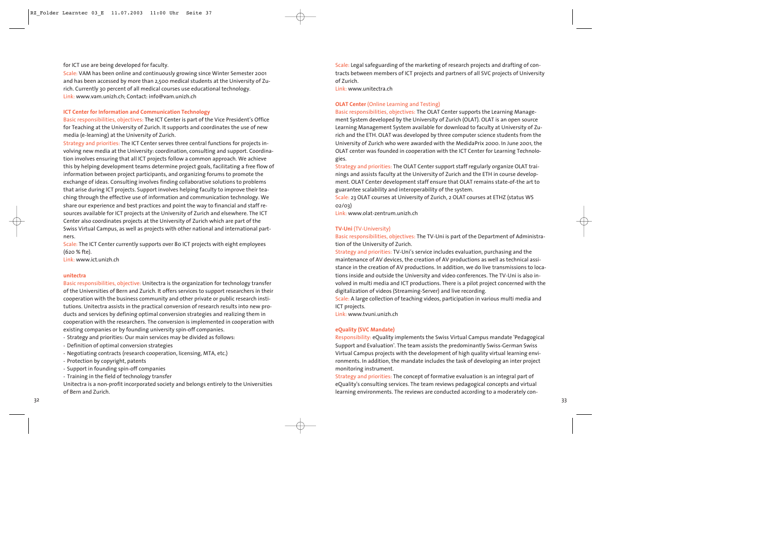#### for ICT use are being developed for faculty.

Scale: VAM has been online and continuously growing since Winter Semester 2001 and has been accessed by more than 2,500 medical students at the University of Zurich. Currently 30 percent of all medical courses use educational technology. Link: www.vam.unizh.ch; Contact: info@vam.unizh.ch

#### **ICT Center for Information and Communication Technology**

Basic responsibilities, objectives: The ICT Center is part of the Vice President's Office for Teaching at the University of Zurich. It supports and coordinates the use of new media (e-learning) at the University of Zurich.

Strategy and priorities: The ICT Center serves three central functions for projects involving new media at the University: coordination, consulting and support. Coordination involves ensuring that all ICT projects follow a common approach. We achieve this by helping development teams determine project goals, facilitating a free flow of information between project participants, and organizing forums to promote the exchange of ideas. Consulting involves finding collaborative solutions to problems that arise during ICT projects. Support involves helping faculty to improve their teaching through the effective use of information and communication technology. We share our experience and best practices and point the way to financial and staff resources available for ICT projects at the University of Zurich and elsewhere. The ICT Center also coordinates projects at the University of Zurich which are part of the Swiss Virtual Campus, as well as projects with other national and international partners.

Scale: The ICT Center currently supports over 80 ICT projects with eight employees (620 % fte).

Link: www.ict.unizh.ch

#### **unitectra**

Basic responsibilities, objective: Unitectra is the organization for technology transfer of the Universities of Bern and Zurich. It offers services to support researchers in their cooperation with the business community and other private or public research institutions. Unitectra assists in the practical conversion of research results into new products and services by defining optimal conversion strategies and realizing them in cooperation with the researchers. The conversion is implemented in cooperation with existing companies or by founding university spin-off companies.

- Strategy and priorities: Our main services may be divided as follows:
- Definition of optimal conversion strategies
- Negotiating contracts (research cooperation, licensing, MTA, etc.)
- Protection by copyright, patents
- Support in founding spin-off companies
- Training in the field of technology transfer

Unitectra is a non-profit incorporated society and belongs entirely to the Universities of Bern and Zurich.

Scale: Legal safeguarding of the marketing of research projects and drafting of contracts between members of ICT projects and partners of all SVC projects of University of Zurich.

Link: www.unitectra.ch

#### **OLAT Center** (Online Learning and Testing)

Basic responsibilities, objectives: The OLAT Center supports the Learning Management System developed by the University of Zurich (OLAT). OLAT is an open source Learning Management System available for download to faculty at University of Zurich and the ETH. OLAT was developed by three computer science students from the University of Zurich who were awarded with the MedidaPrix 2000. In June 2001, the OLAT center was founded in cooperation with the ICT Center for Learning Technologies.

Strategy and priorities: The OLAT Center support staff regularly organize OLAT trainings and assists faculty at the University of Zurich and the ETH in course development. OLAT Center development staff ensure that OLAT remains state-of-the art to guarantee scalability and interoperability of the system.

Scale: 23 OLAT courses at University of Zurich, 2 OLAT courses at ETHZ (status WS 02/03)

Link: www.olat-zentrum.unizh.ch

#### **TV-Uni** (TV-University)

Basic responsibilities, objectives: The TV-Uni is part of the Department of Administration of the University of Zurich.

Strategy and priorities: TV-Uni's service includes evaluation, purchasing and the maintenance of AV devices, the creation of AV productions as well as technical assistance in the creation of AV productions. In addition, we do live transmissions to locations inside and outside the University and video conferences. The TV-Uni is also involved in multi media and ICT productions. There is a pilot project concerned with the digitalization of videos (Streaming-Server) and live recording.

Scale: A large collection of teaching videos, participation in various multi media and ICT projects.

Link: www.tvuni.unizh.ch

#### **eQuality (SVC Mandate)**

Responsibility: eQuality implements the Swiss Virtual Campus mandate 'Pedagogical Support and Evaluation'. The team assists the predominantly Swiss-German Swiss Virtual Campus projects with the development of high quality virtual learning environments. In addition, the mandate includes the task of developing an inter project monitoring instrument.

Strategy and priorities: The concept of formative evaluation is an integral part of eQuality's consulting services. The team reviews pedagogical concepts and virtual learning environments. The reviews are conducted according to a moderately con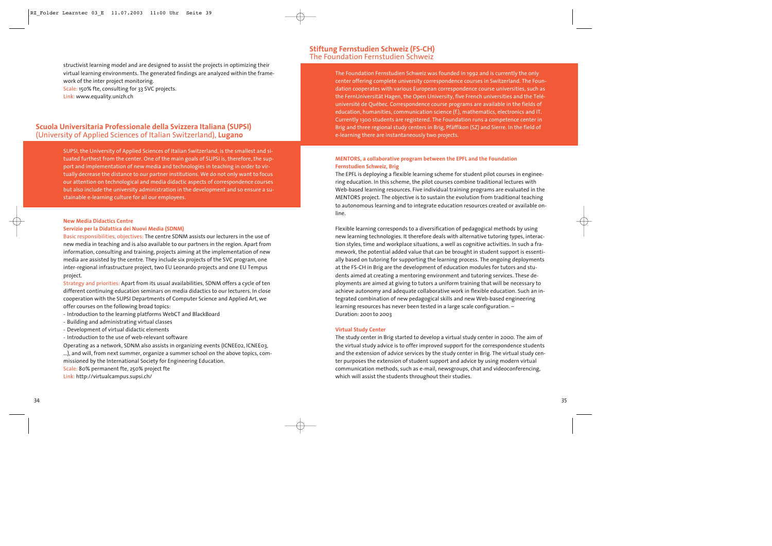structivist learning model and are designed to assist the projects in optimizing their virtual learning environments. The generated findings are analyzed within the framework of the inter project monitoring. Scale: 150% fte, consulting for 33 SVC projects.

Link: www.equality.unizh.ch

## **Scuola Universitaria Professionale della Svizzera Italiana (SUPSI)**  (University of Applied Sciences of Italian Switzerland), **Lugano**

SUPSI, the University of Applied Sciences of Italian Switzerland, is the smallest and situated furthest from the center. One of the main goals of SUPSI is, therefore, the support and implementation of new media and technologies in teaching in order to virtually decrease the distance to our partner institutions. We do not only want to focus our attention on technological and media didactic aspects of correspondence courses but also include the university administration in the development and so ensure a sustainable e-learning culture for all our employees.

#### **New Media Didactics Centre**

#### **Servizio per la Didattica dei Nuovi Media (SDNM)**

Basic responsibilities, objectives: The centre SDNM assists our lecturers in the use of new media in teaching and is also available to our partners in the region. Apart from information, consulting and training, projects aiming at the implementation of new media are assisted by the centre. They include six projects of the SVC program, one inter-regional infrastructure project, two EU Leonardo projects and one EU Tempus project.

Strategy and priorities: Apart from its usual availabilities, SDNM offers a cycle of ten different continuing education seminars on media didactics to our lecturers. In close cooperation with the SUPSI Departments of Computer Science and Applied Art, we offer courses on the following broad topics:

- Introduction to the learning platforms WebCT and BlackBoard
- Building and administrating virtual classes
- Development of virtual didactic elements
- Introduction to the use of web-relevant software

Operating as a network, SDNM also assists in organizing events (ICNEE02, ICNEE03, ...), and will, from next summer, organize a summer school on the above topics, com-

- missioned by the International Society for Engineering Education.
- Scale: 80% permanent fte, 250% project fte

Link: http://virtualcampus.supsi.ch/

## **Stiftung Fernstudien Schweiz (FS-CH)** The Foundation Fernstudien Schweiz

The Foundation Fernstudien Schweiz was founded in 1992 and is currently the only center offering complete university correspondence courses in Switzerland. The Foundation cooperates with various European correspondence course universities, such as the FernUniversität Hagen, the Open University, five French universities and the Teléuniversité de Québec. Correspondence course programs are available in the fields of education, humanities, communication science (f.), mathematics, electronics and IT. Currently 1300 students are registered. The Foundation runs a competence center in Brig and three regional study centers in Brig, Pfäffikon (SZ) and Sierre. In the field of e-learning there are instantaneously two projects.

### **MENTORS, a collaborative program between the EPFL and the Foundation Fernstudien Schweiz, Brig**

The EPFL is deploying a flexible learning scheme for student pilot courses in engineering education. In this scheme, the pilot courses combine traditional lectures with Web-based learning resources. Five individual training programs are evaluated in the MENTORS project. The objective is to sustain the evolution from traditional teaching to autonomous learning and to integrate education resources created or available online.

Flexible learning corresponds to a diversification of pedagogical methods by using new learning technologies. It therefore deals with alternative tutoring types, interaction styles, time and workplace situations, a well as cognitive activities. In such a framework, the potential added value that can be brought in student support is essentially based on tutoring for supporting the learning process. The ongoing deployments at the FS-CH in Brig are the development of education modules for tutors and students aimed at creating a mentoring environment and tutoring services. These deployments are aimed at giving to tutors a uniform training that will be necessary to achieve autonomy and adequate collaborative work in flexible education. Such an integrated combination of new pedagogical skills and new Web-based engineering learning resources has never been tested in a large scale configuration. – Duration: 2001 to 2003

#### **Virtual Study Center**

The study center in Brig started to develop a virtual study center in 2000. The aim of the virtual study advice is to offer improved support for the correspondence students and the extension of advice services by the study center in Brig. The virtual study center purposes the extension of student support and advice by using modern virtual communication methods, such as e-mail, newsgroups, chat and videoconferencing, which will assist the students throughout their studies.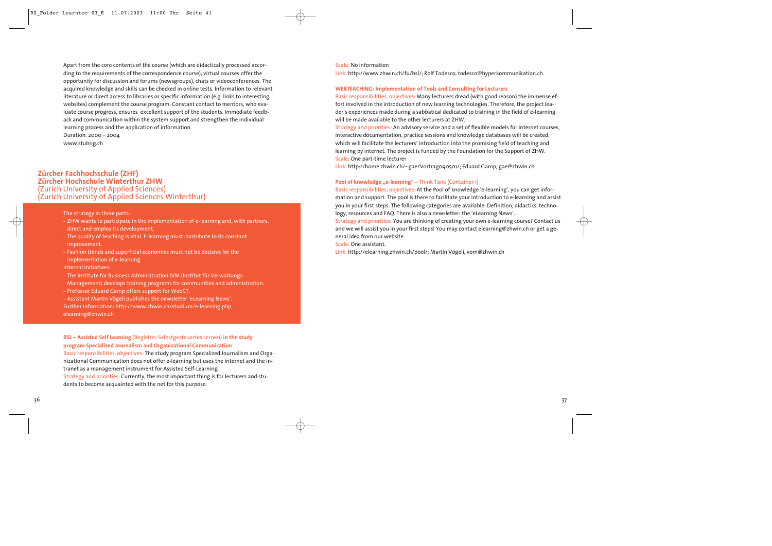Apart from the core contents of the course (which are didactically processed according to the requirements of the correspondence course), virtual courses offer the opportunity for discussion and forums (newsgroups), chats or videoconferences. The acquired knowledge and skills can be checked in online tests. Information to relevant literature or direct access to libraries or specific information (e.g. links to interesting websites) complement the course program. Constant contact to mentors, who evaluate course progress, ensures excellent support of the students. Immediate feedback and communication within the system support and strengthen the individual learning process and the application of information.

Duration: 2000 – 2004 www.stubrig.ch

## **Zürcher Fachhochschule (ZHF) Zürcher Hochschule Winterthur ZHW** (Zurich University of Applied Sciences) (Zurich University of Applied Sciences Winterthur)

The strategy in three parts:

- ZHW wants to participate in the implementation of e-learning and, with partners, direct and employ its development.
- The quality of teaching is vital. E-learning must contribute to its constant improvement.
- Fashion trends and superficial economies must not be decisive for the implementation of e-learning.

Internal Initiatives:

- The Institute for Business Administration IVM (Institut für Verwaltungs-

Management) develops training programs for communities and administration.

- Professor Eduard Gamp offers support for WebCT.

- Assistant Martin Vögeli publishes the newsletter 'eLearning News'. Further Information: http://www.zhwin.ch/studium/e-learning.php, elearning@zhwin.ch

**BSL – Assisted Self Learning** (Begleites Selbstgesteuertes Lernen) **in the study program Specialized Journalism and Organizational Communication**

Basic responsibilities, objectives: The study program Specialized Journalism and Organizational Communication does not offer e-learning but uses the internet and the intranet as a management instrument for Assisted Self-Learning.

Strategy and priorities: Currently, the most important thing is for lecturers and students to become acquainted with the net for this purpose.

#### Scale: No information

Link: http://www.zhwin.ch/fu/bsl/; Rolf Todesco, todesco@hyperkommunikation.ch

#### **WEBTEACHING: Implementation of Tools and Consulting for Lecturers**

Basic responsibilities, objectives: Many lecturers dread (with good reason) the immense effort involved in the introduction of new learning technologies. Therefore, the project leader's experiences made during a sabbatical dedicated to training in the field of e-learning will be made available to the other lecturers at ZHW.

Strategy and priorities: An advisory service and a set of flexible models for internet courses, interactive documentation, practice sessions and knowledge databases will be created, which will facilitate the lecturers' introduction into the promising field of teaching and learning by internet. The project is funded by the Foundation for the Support of ZHW. Scale: One part-time lecturer

Link: http://home.zhwin.ch/~gae/Vortrag090501/; Eduard Gamp, gae@zhwin.ch

#### **Pool of knowledge "e-learning" – Think Tank (Container 1)**

Basic responsibilities, objectives: At the Pool of knowledge 'e-learning', you can get information and support. The pool is there to facilitate your introduction to e-learning and assist you in your first steps. The following categories are available: Definition, didactics, technology, resources and FAQ. There is also a newsletter: the 'eLearning News'.

Strategy and priorities: You are thinking of creating your own e-learning course? Contact us and we will assist you in your first steps! You may contact elearning@zhwin.ch or get a general idea from our website.

Scale: One assistant.

Link: http://elearning.zhwin.ch/pool/; Martin Vögeli, vom@zhwin.ch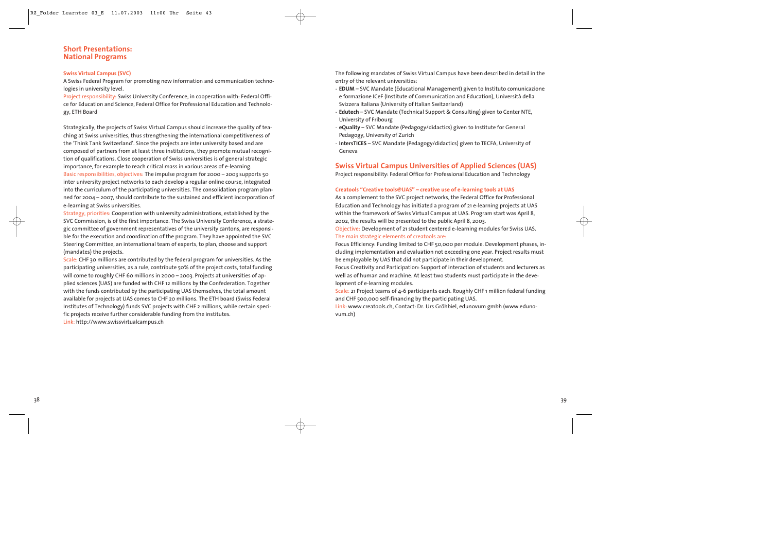## **Short Presentations: National Programs**

#### **Swiss Virtual Campus (SVC)**

A Swiss Federal Program for promoting new information and communication technologies in university level.

Project responsibility: Swiss University Conference, in cooperation with: Federal Office for Education and Science, Federal Office for Professional Education and Technology, ETH Board

Strategically, the projects of Swiss Virtual Campus should increase the quality of teaching at Swiss universities, thus strengthening the international competitiveness of the 'Think Tank Switzerland'. Since the projects are inter university based and are composed of partners from at least three institutions, they promote mutual recognition of qualifications. Close cooperation of Swiss universities is of general strategic importance, for example to reach critical mass in various areas of e-learning. Basic responsibilities, objectives: The impulse program for 2000 – 2003 supports 50 inter university project networks to each develop a regular online course, integrated into the curriculum of the participating universities. The consolidation program planned for 2004 – 2007, should contribute to the sustained and efficient incorporation of e-learning at Swiss universities.

Strategy, priorities: Cooperation with university administrations, established by the SVC Commission, is of the first importance. The Swiss University Conference, a strategic committee of government representatives of the university cantons, are responsible for the execution and coordination of the program. They have appointed the SVC Steering Committee, an international team of experts, to plan, choose and support (mandates) the projects.

Scale: CHF 30 millions are contributed by the federal program for universities. As the participating universities, as a rule, contribute 50% of the project costs, total funding will come to roughly CHF 60 millions in 2000 – 2003. Projects at universities of applied sciences (UAS) are funded with CHF 12 millions by the Confederation. Together with the funds contributed by the participating UAS themselves, the total amount available for projects at UAS comes to CHF 20 millions. The ETH board (Swiss Federal Institutes of Technology) funds SVC projects with CHF 2 millions, while certain specific projects receive further considerable funding from the institutes. Link: http://www.swissvirtualcampus.ch

The following mandates of Swiss Virtual Campus have been described in detail in the entry of the relevant universities:

- **EDUM** SVC Mandate (Educational Management) given to Instituto comunicazione e formazione ICeF (Institute of Communication and Education), Università della Svizzera Italiana (University of Italian Switzerland)
- **Edutech** SVC Mandate (Technical Support & Consulting) given to Center NTE, University of Fribourg
- **eQuality** SVC Mandate (Pedagogy/didactics) given to Institute for General Pedagogy, University of Zurich
- **IntersTICES** SVC Mandate (Pedagogy/didactics) given to TECFA, University of Geneva

## **Swiss Virtual Campus Universities of Applied Sciences (UAS)**

Project responsibility: Federal Office for Professional Education and Technology

#### **Creatools "Creative tools@UAS" – creative use of e-learning tools at UAS**

As a complement to the SVC project networks, the Federal Office for Professional Education and Technology has initiated a program of 21 e-learning projects at UAS within the framework of Swiss Virtual Campus at UAS. Program start was April 8, 2002, the results will be presented to the public April 8, 2003.

Objective: Development of 21 student centered e-learning modules for Swiss UAS. The main strategic elements of creatools are:

Focus Efficiency: Funding limited to CHF 50,000 per module. Development phases, including implementation and evaluation not exceeding one year. Project results must be employable by UAS that did not participate in their development.

Focus Creativity and Participation: Support of interaction of students and lecturers as well as of human and machine. At least two students must participate in the development of e-learning modules.

Scale: 21 Project teams of 4-6 participants each. Roughly CHF 1 million federal funding and CHF 500,000 self-financing by the participating UAS.

Link: www.creatools.ch, Contact: Dr. Urs Gröhbiel, edunovum gmbh (www.edunovum.ch)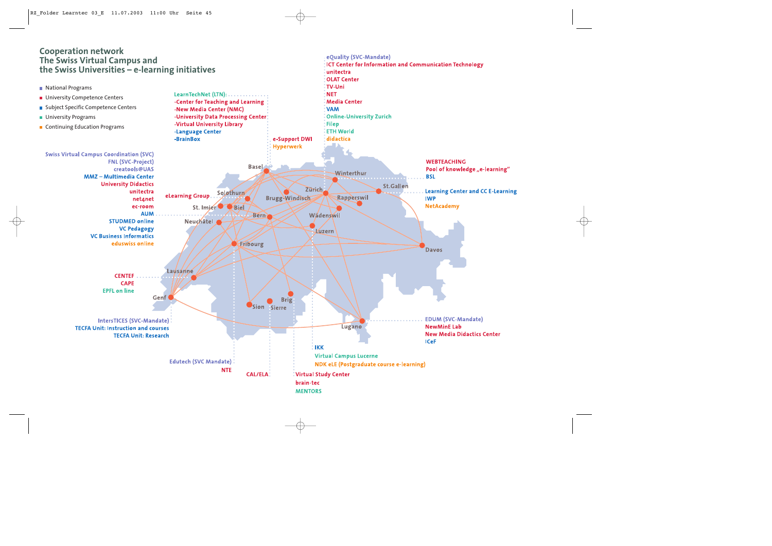## **Cooperation network The Swiss Virtual Campus and the Swiss Universities – e-learning initiatives**



eOuality (SVC-Mandate)

unitectra

**ICT Center for Information and Communication Technology**